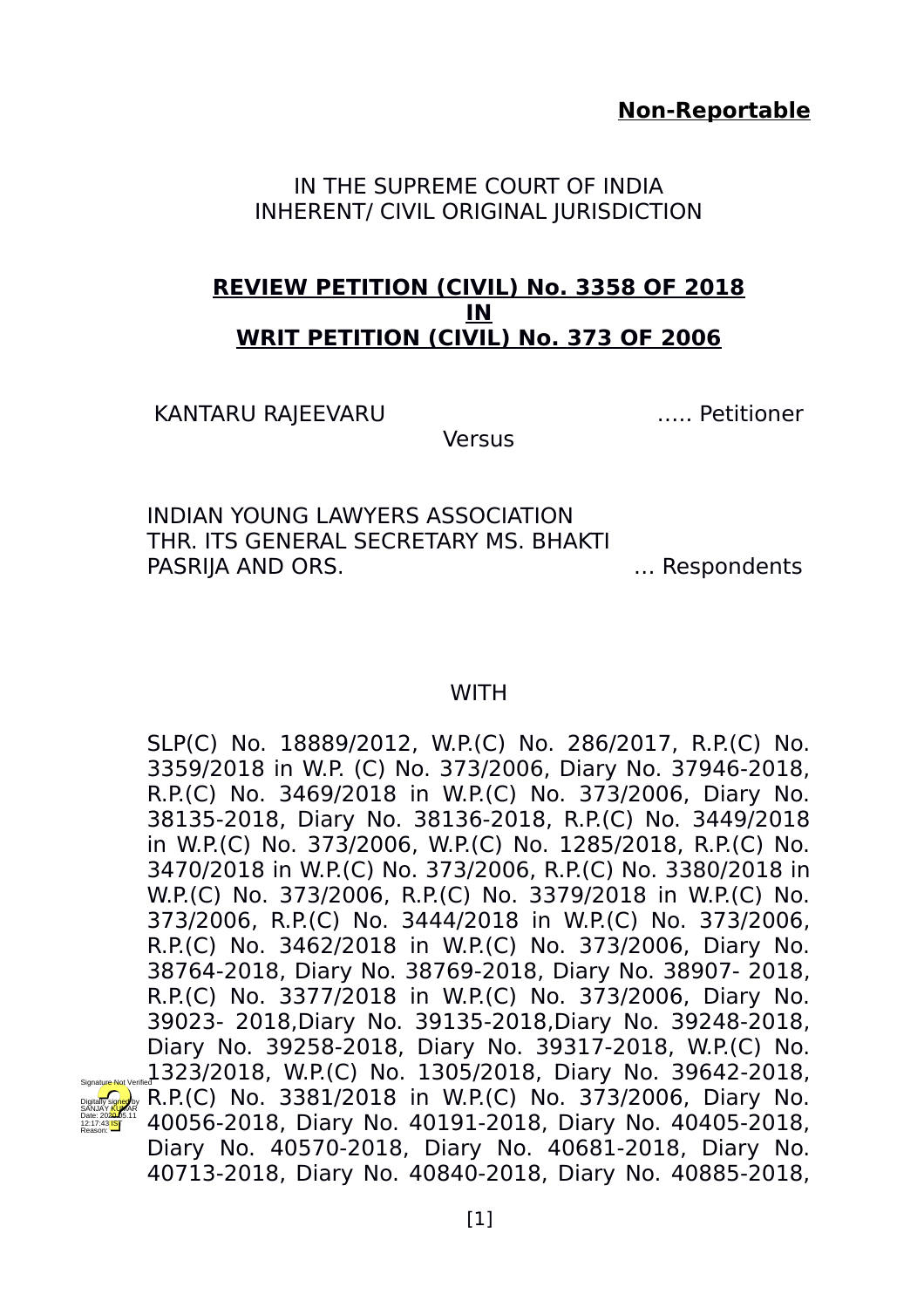**Non-Reportable**

IN THE SUPREME COURT OF INDIA INHERENT/ CIVIL ORIGINAL JURISDICTION

# **REVIEW PETITION (CIVIL) No. 3358 OF 2018 IN WRIT PETITION (CIVIL) No. 373 OF 2006**

KANTARU RAJEEVARU ….. Petitioner

Digitally signed by SANJAY <mark>KU</mark>MAR Date: 2020.05.11 12:17:43 IST Reason:

**Versus** 

INDIAN YOUNG LAWYERS ASSOCIATION THR. ITS GENERAL SECRETARY MS. BHAKTI PASRIJA AND ORS. We are not all the subset of the second services of the services of the services of the services of the services of the services of the services of the services of the services of the services of the servi

# **WITH**

SLP(C) No. 18889/2012, W.P.(C) No. 286/2017, R.P.(C) No. 3359/2018 in W.P. (C) No. 373/2006, Diary No. 37946-2018, R.P.(C) No. 3469/2018 in W.P.(C) No. 373/2006, Diary No. 38135-2018, Diary No. 38136-2018, R.P.(C) No. 3449/2018 in W.P.(C) No. 373/2006, W.P.(C) No. 1285/2018, R.P.(C) No. 3470/2018 in W.P.(C) No. 373/2006, R.P.(C) No. 3380/2018 in W.P.(C) No. 373/2006, R.P.(C) No. 3379/2018 in W.P.(C) No. 373/2006, R.P.(C) No. 3444/2018 in W.P.(C) No. 373/2006, R.P.(C) No. 3462/2018 in W.P.(C) No. 373/2006, Diary No. 38764-2018, Diary No. 38769-2018, Diary No. 38907- 2018, R.P.(C) No. 3377/2018 in W.P.(C) No. 373/2006, Diary No. 39023- 2018,Diary No. 39135-2018,Diary No. 39248-2018, Diary No. 39258-2018, Diary No. 39317-2018, W.P.(C) No. 1323/2018, W.P.(C) No. 1305/2018, Diary No. 39642-2018, R.P.(C) No. 3381/2018 in W.P.(C) No. 373/2006, Diary No. 40056-2018, Diary No. 40191-2018, Diary No. 40405-2018, Diary No. 40570-2018, Diary No. 40681-2018, Diary No. 40713-2018, Diary No. 40840-2018, Diary No. 40885-2018, Signature Not Verified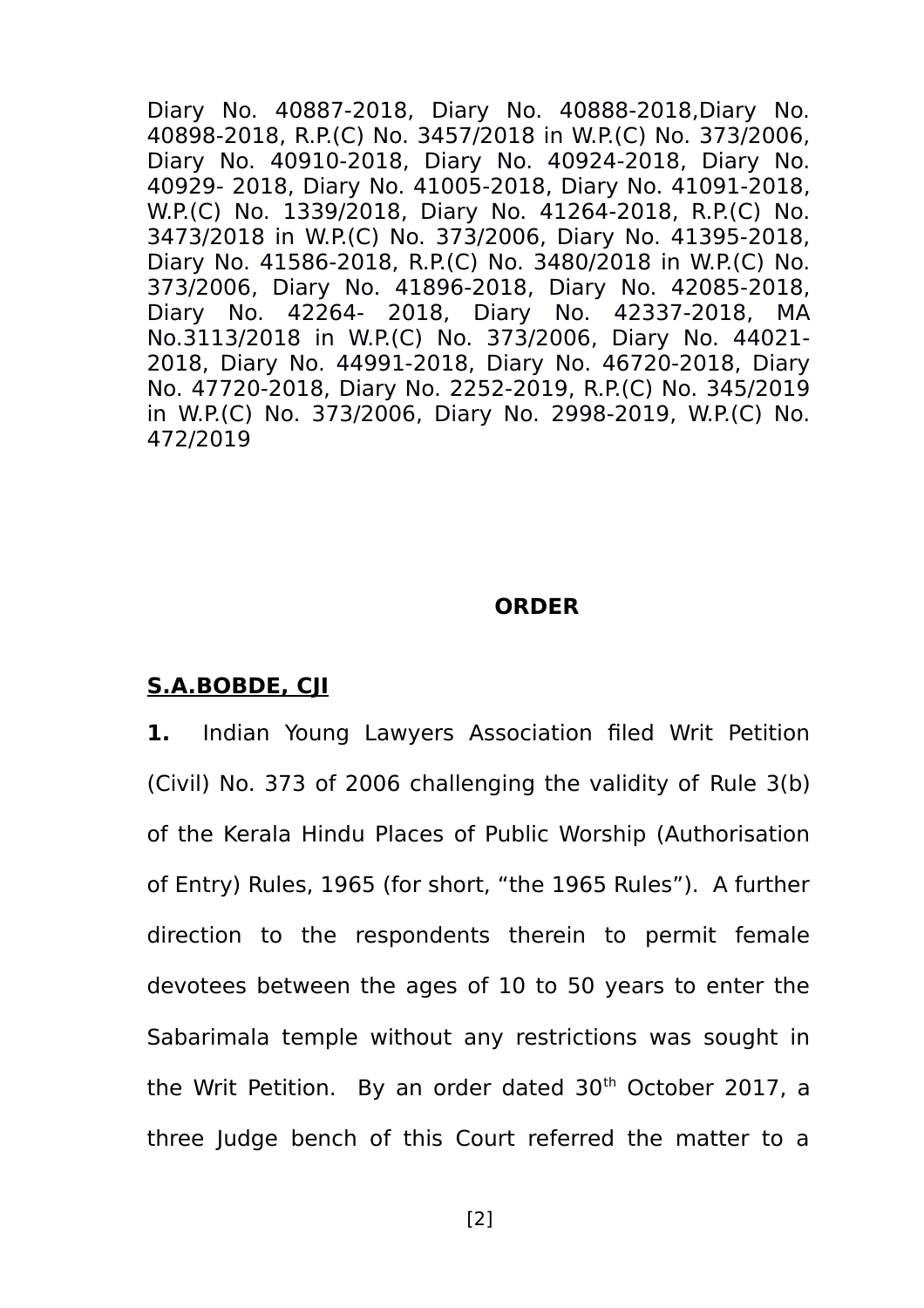Diary No. 40887-2018, Diary No. 40888-2018,Diary No. 40898-2018, R.P.(C) No. 3457/2018 in W.P.(C) No. 373/2006, Diary No. 40910-2018, Diary No. 40924-2018, Diary No. 40929- 2018, Diary No. 41005-2018, Diary No. 41091-2018, W.P.(C) No. 1339/2018, Diary No. 41264-2018, R.P.(C) No. 3473/2018 in W.P.(C) No. 373/2006, Diary No. 41395-2018, Diary No. 41586-2018, R.P.(C) No. 3480/2018 in W.P.(C) No. 373/2006, Diary No. 41896-2018, Diary No. 42085-2018, Diary No. 42264- 2018, Diary No. 42337-2018, MA No.3113/2018 in W.P.(C) No. 373/2006, Diary No. 44021- 2018, Diary No. 44991-2018, Diary No. 46720-2018, Diary No. 47720-2018, Diary No. 2252-2019, R.P.(C) No. 345/2019 in W.P.(C) No. 373/2006, Diary No. 2998-2019, W.P.(C) No. 472/2019

# **ORDER**

# **S.A.BOBDE, CJI**

**1.** Indian Young Lawyers Association filed Writ Petition (Civil) No. 373 of 2006 challenging the validity of Rule 3(b) of the Kerala Hindu Places of Public Worship (Authorisation of Entry) Rules, 1965 (for short, "the 1965 Rules"). A further direction to the respondents therein to permit female devotees between the ages of 10 to 50 years to enter the Sabarimala temple without any restrictions was sought in the Writ Petition. By an order dated 30<sup>th</sup> October 2017, a three Judge bench of this Court referred the matter to a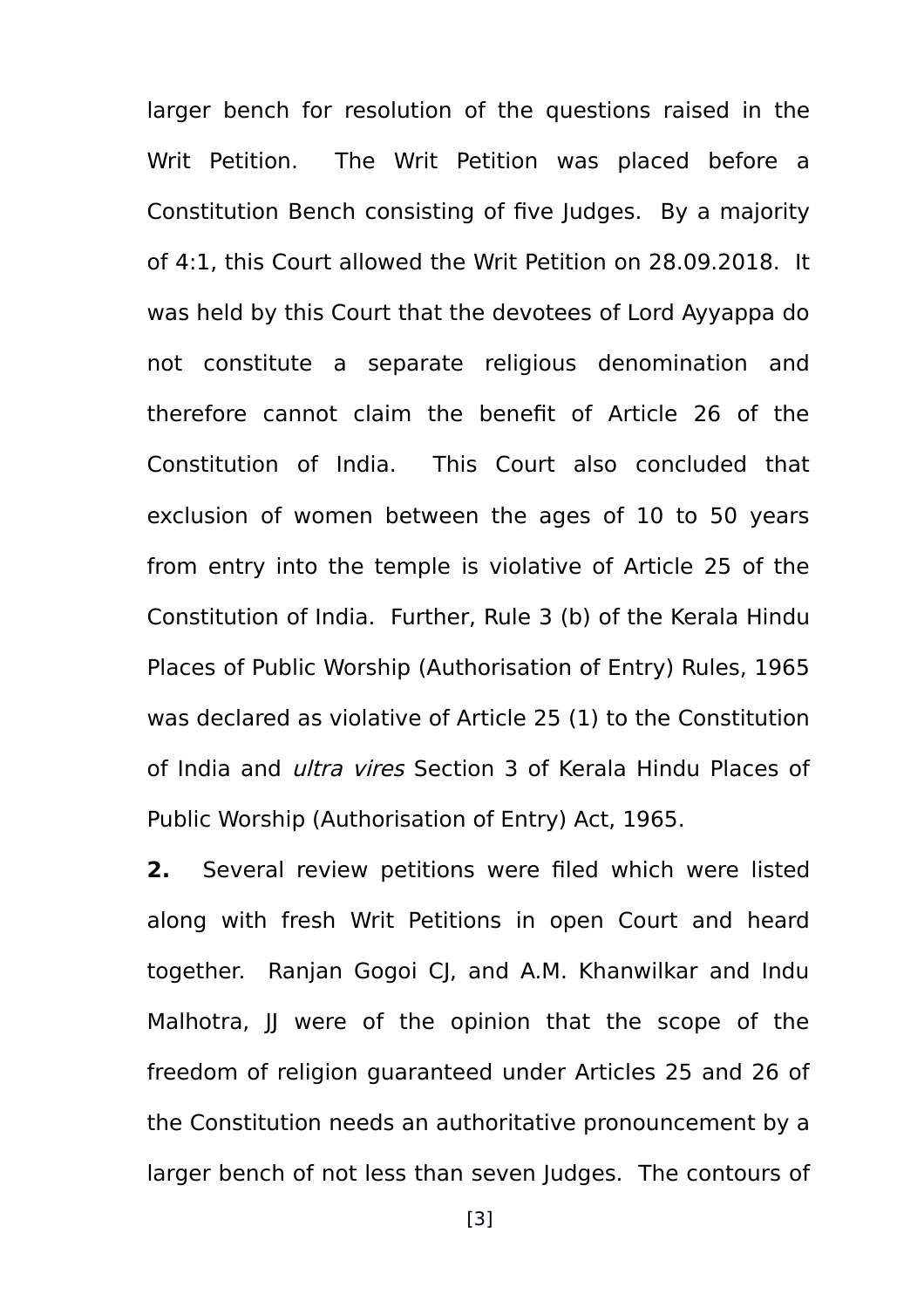larger bench for resolution of the questions raised in the Writ Petition. The Writ Petition was placed before a Constitution Bench consisting of five Judges. By a majority of 4:1, this Court allowed the Writ Petition on 28.09.2018. It was held by this Court that the devotees of Lord Ayyappa do not constitute a separate religious denomination and therefore cannot claim the benefit of Article 26 of the Constitution of India. This Court also concluded that exclusion of women between the ages of 10 to 50 years from entry into the temple is violative of Article 25 of the Constitution of India. Further, Rule 3 (b) of the Kerala Hindu Places of Public Worship (Authorisation of Entry) Rules, 1965 was declared as violative of Article 25 (1) to the Constitution of India and *ultra vires* Section 3 of Kerala Hindu Places of Public Worship (Authorisation of Entry) Act, 1965.

**2.** Several review petitions were filed which were listed along with fresh Writ Petitions in open Court and heard together. Ranjan Gogoi CJ, and A.M. Khanwilkar and Indu Malhotra, IJ were of the opinion that the scope of the freedom of religion guaranteed under Articles 25 and 26 of the Constitution needs an authoritative pronouncement by a larger bench of not less than seven Judges. The contours of

[3]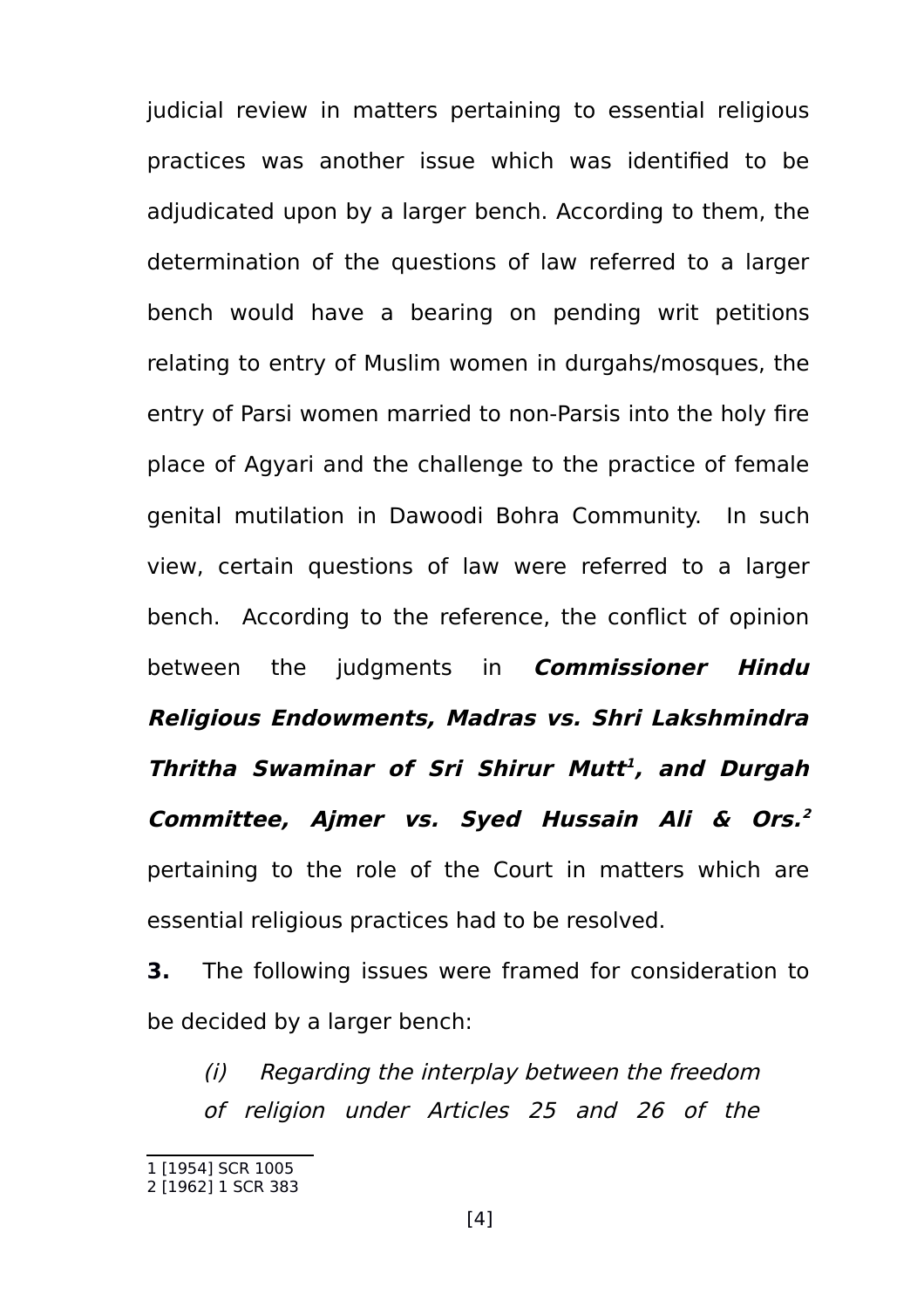judicial review in matters pertaining to essential religious practices was another issue which was identified to be adjudicated upon by a larger bench. According to them, the determination of the questions of law referred to a larger bench would have a bearing on pending writ petitions relating to entry of Muslim women in durgahs/mosques, the entry of Parsi women married to non-Parsis into the holy fire place of Agyari and the challenge to the practice of female genital mutilation in Dawoodi Bohra Community. In such view, certain questions of law were referred to a larger bench. According to the reference, the conflict of opinion between the judgments in **Commissioner Hindu Religious Endowments, Madras vs. Shri Lakshmindra Thritha Swaminar of Sri Shirur Mutt [1](#page-3-0) , and Durgah Committee, Ajmer vs. Syed Hussain Ali & Ors. [2](#page-3-1)** pertaining to the role of the Court in matters which are essential religious practices had to be resolved.

**3.** The following issues were framed for consideration to be decided by a larger bench:

(i) Regarding the interplay between the freedom of religion under Articles 25 and 26 of the

<span id="page-3-0"></span><sup>1 [1954]</sup> SCR 1005

<span id="page-3-1"></span><sup>2 [1962] 1</sup> SCR 383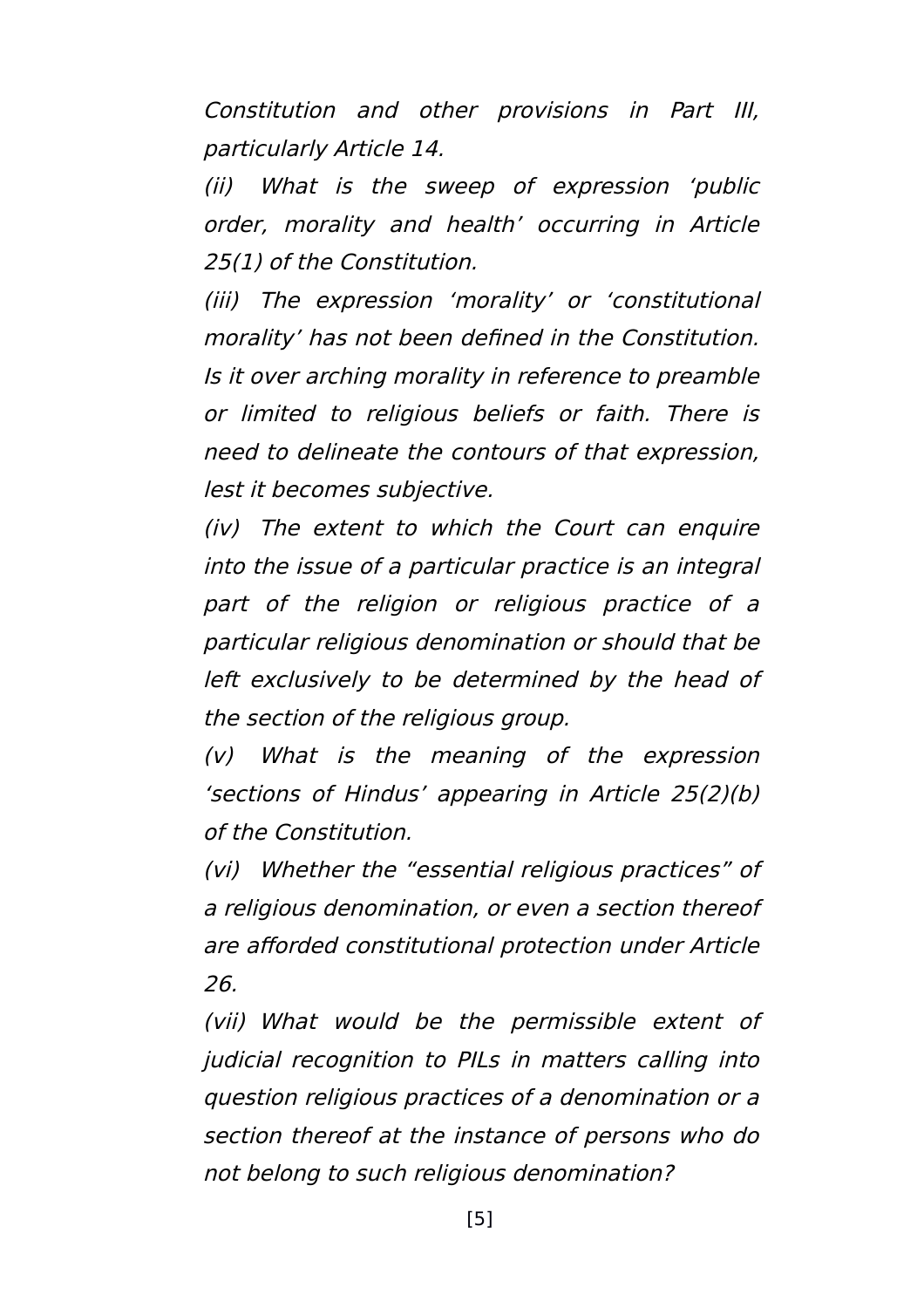Constitution and other provisions in Part III, particularly Article 14.

(ii) What is the sweep of expression 'public order, morality and health' occurring in Article 25(1) of the Constitution.

(iii) The expression 'morality' or 'constitutional morality' has not been defined in the Constitution. Is it over arching morality in reference to preamble or limited to religious beliefs or faith. There is need to delineate the contours of that expression, lest it becomes subjective.

(iv) The extent to which the Court can enquire into the issue of a particular practice is an integral part of the religion or religious practice of <sup>a</sup> particular religious denomination or should that be left exclusively to be determined by the head of the section of the religious group.

(v) What is the meaning of the expression 'sections of Hindus' appearing in Article 25(2)(b) of the Constitution.

(vi) Whether the "essential religious practices" of a religious denomination, or even a section thereof are afforded constitutional protection under Article 26.

(vii) What would be the permissible extent of judicial recognition to PILs in matters calling into question religious practices of a denomination or a section thereof at the instance of persons who do not belong to such religious denomination?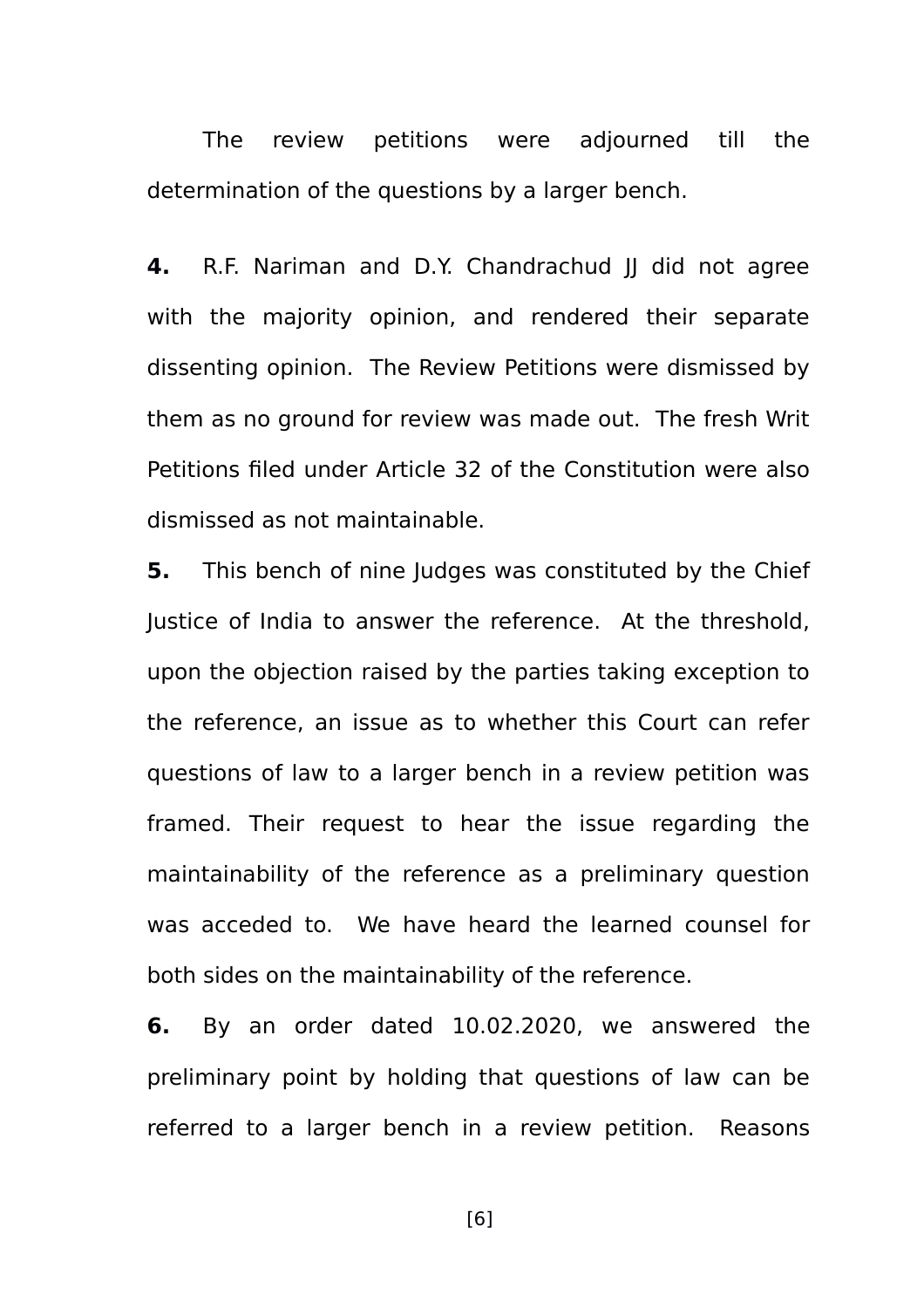The review petitions were adjourned till the determination of the questions by a larger bench.

**4.** R.F. Nariman and D.Y. Chandrachud II did not agree with the majority opinion, and rendered their separate dissenting opinion. The Review Petitions were dismissed by them as no ground for review was made out. The fresh Writ Petitions filed under Article 32 of the Constitution were also dismissed as not maintainable.

**5.** This bench of nine Judges was constituted by the Chief Justice of India to answer the reference. At the threshold, upon the objection raised by the parties taking exception to the reference, an issue as to whether this Court can refer questions of law to a larger bench in a review petition was framed. Their request to hear the issue regarding the maintainability of the reference as a preliminary question was acceded to. We have heard the learned counsel for both sides on the maintainability of the reference.

**6.** By an order dated 10.02.2020, we answered the preliminary point by holding that questions of law can be referred to a larger bench in a review petition. Reasons

[6]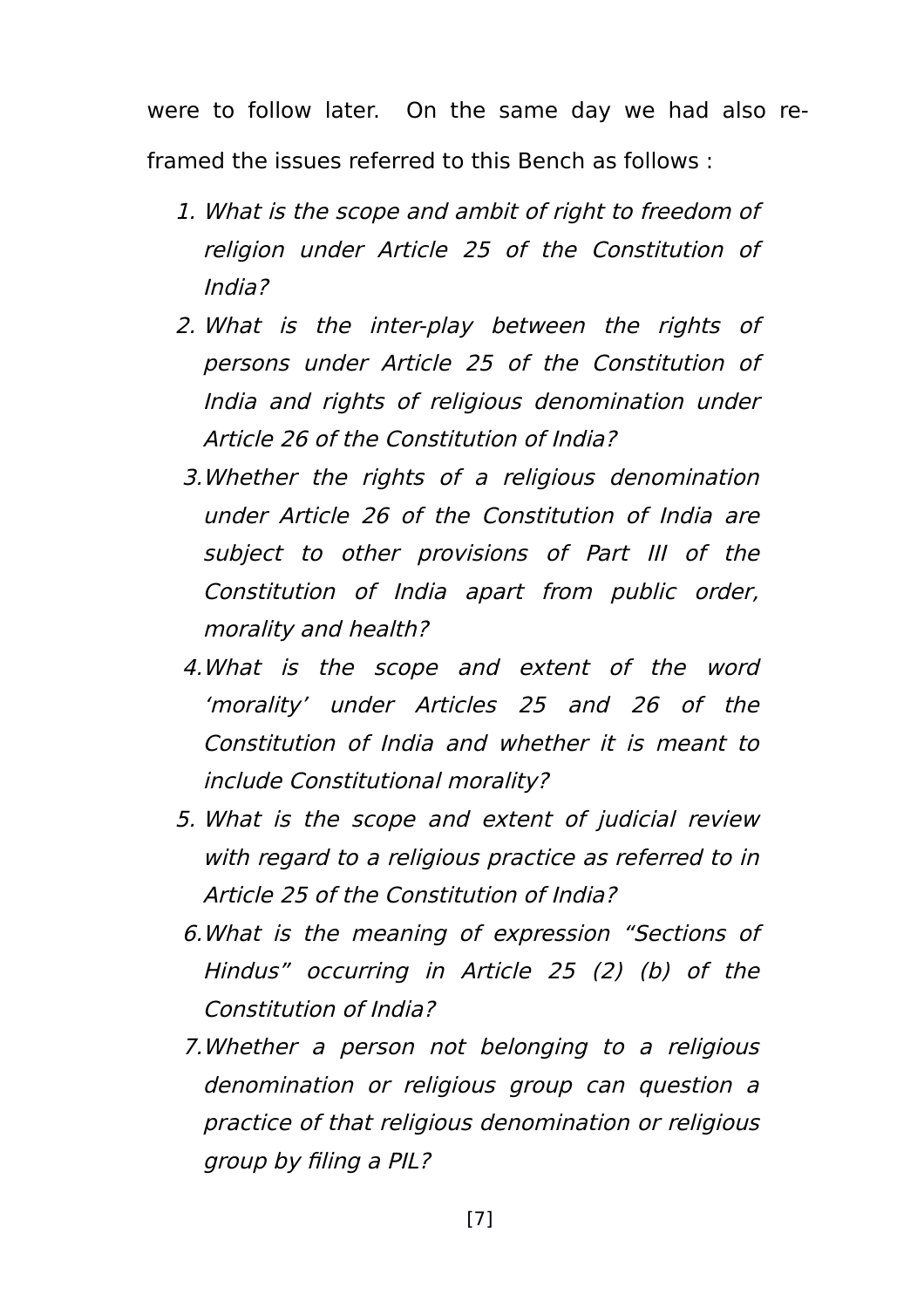were to follow later. On the same day we had also reframed the issues referred to this Bench as follows :

- 1. What is the scope and ambit of right to freedom of religion under Article 25 of the Constitution of India?
- 2. What is the inter-play between the rights of persons under Article 25 of the Constitution of India and rights of religious denomination under Article 26 of the Constitution of India?
- 3.Whether the rights of <sup>a</sup> religious denomination under Article 26 of the Constitution of India are subject to other provisions of Part III of the Constitution of India apart from public order, morality and health?
- 4.What is the scope and extent of the word 'morality' under Articles 25 and 26 of the Constitution of India and whether it is meant to include Constitutional morality?
- 5. What is the scope and extent of judicial review with regard to a religious practice as referred to in Article 25 of the Constitution of India?
- 6.What is the meaning of expression "Sections of Hindus" occurring in Article 25 (2) (b) of the Constitution of India?
- 7.Whether <sup>a</sup> person not belonging to <sup>a</sup> religious denomination or religious group can question <sup>a</sup> practice of that religious denomination or religious group by filing a PIL?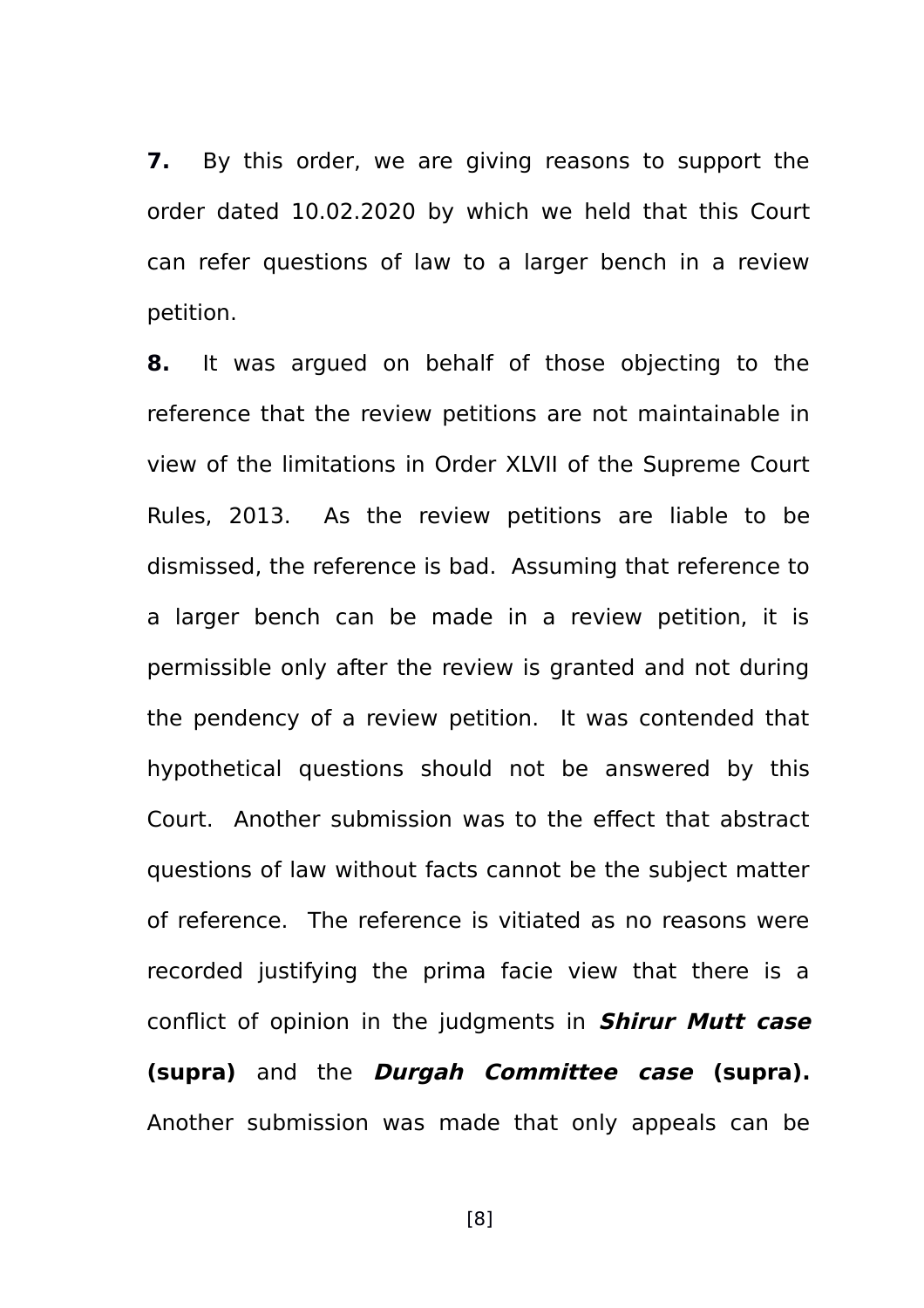**7.** By this order, we are giving reasons to support the order dated 10.02.2020 by which we held that this Court can refer questions of law to a larger bench in a review petition.

**8.** It was argued on behalf of those objecting to the reference that the review petitions are not maintainable in view of the limitations in Order XLVII of the Supreme Court Rules, 2013. As the review petitions are liable to be dismissed, the reference is bad. Assuming that reference to a larger bench can be made in a review petition, it is permissible only after the review is granted and not during the pendency of a review petition. It was contended that hypothetical questions should not be answered by this Court. Another submission was to the effect that abstract questions of law without facts cannot be the subject matter of reference. The reference is vitiated as no reasons were recorded justifying the prima facie view that there is a conflict of opinion in the judgments in **Shirur Mutt case (supra)** and the **Durgah Committee case (supra).** Another submission was made that only appeals can be

[8]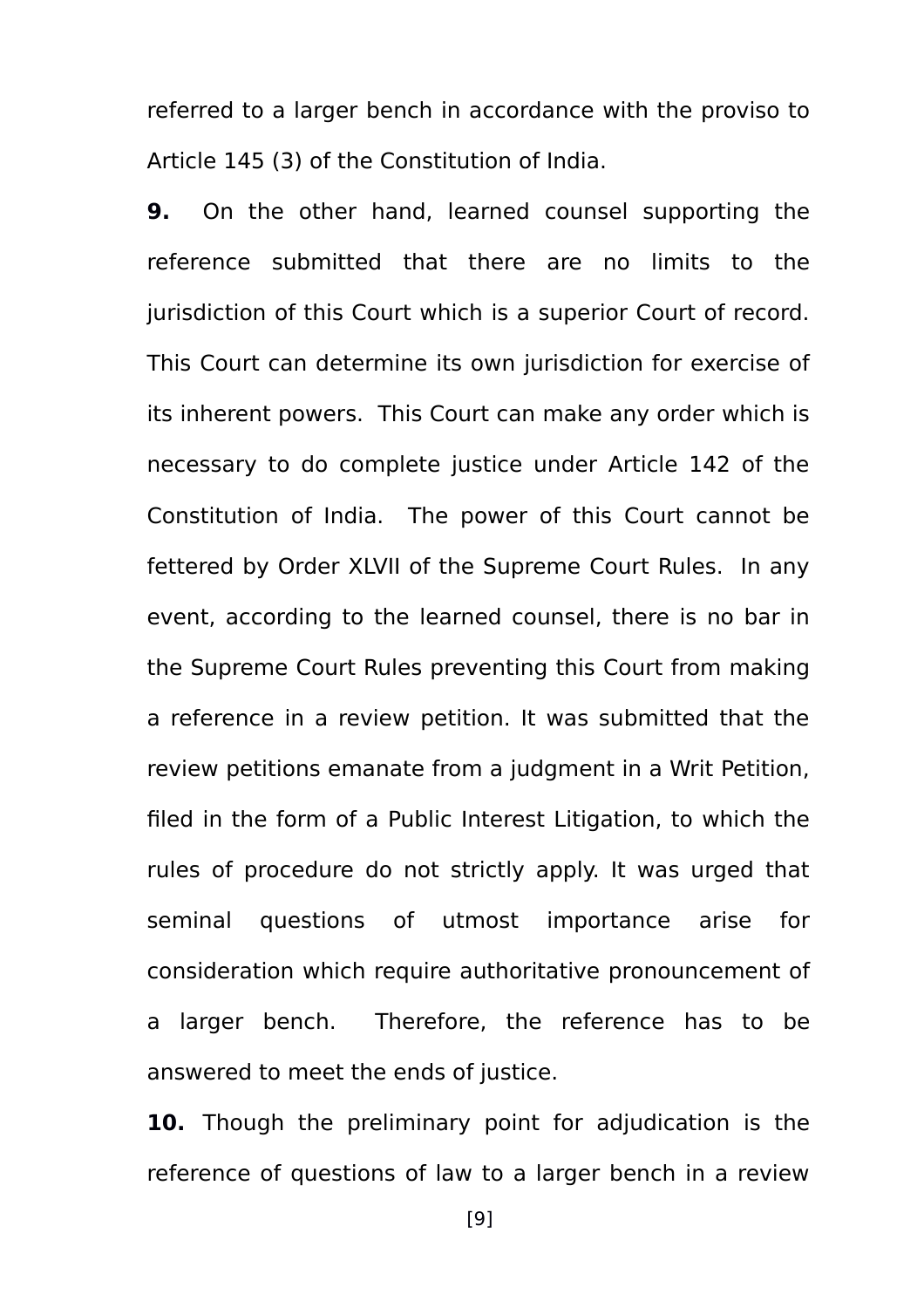referred to a larger bench in accordance with the proviso to Article 145 (3) of the Constitution of India.

**9.** On the other hand, learned counsel supporting the reference submitted that there are no limits to the jurisdiction of this Court which is a superior Court of record. This Court can determine its own jurisdiction for exercise of its inherent powers. This Court can make any order which is necessary to do complete justice under Article 142 of the Constitution of India. The power of this Court cannot be fettered by Order XLVII of the Supreme Court Rules. In any event, according to the learned counsel, there is no bar in the Supreme Court Rules preventing this Court from making a reference in a review petition. It was submitted that the review petitions emanate from a judgment in a Writ Petition, filed in the form of a Public Interest Litigation, to which the rules of procedure do not strictly apply. It was urged that seminal questions of utmost importance arise for consideration which require authoritative pronouncement of a larger bench. Therefore, the reference has to be answered to meet the ends of justice.

**10.** Though the preliminary point for adjudication is the reference of questions of law to a larger bench in a review

[9]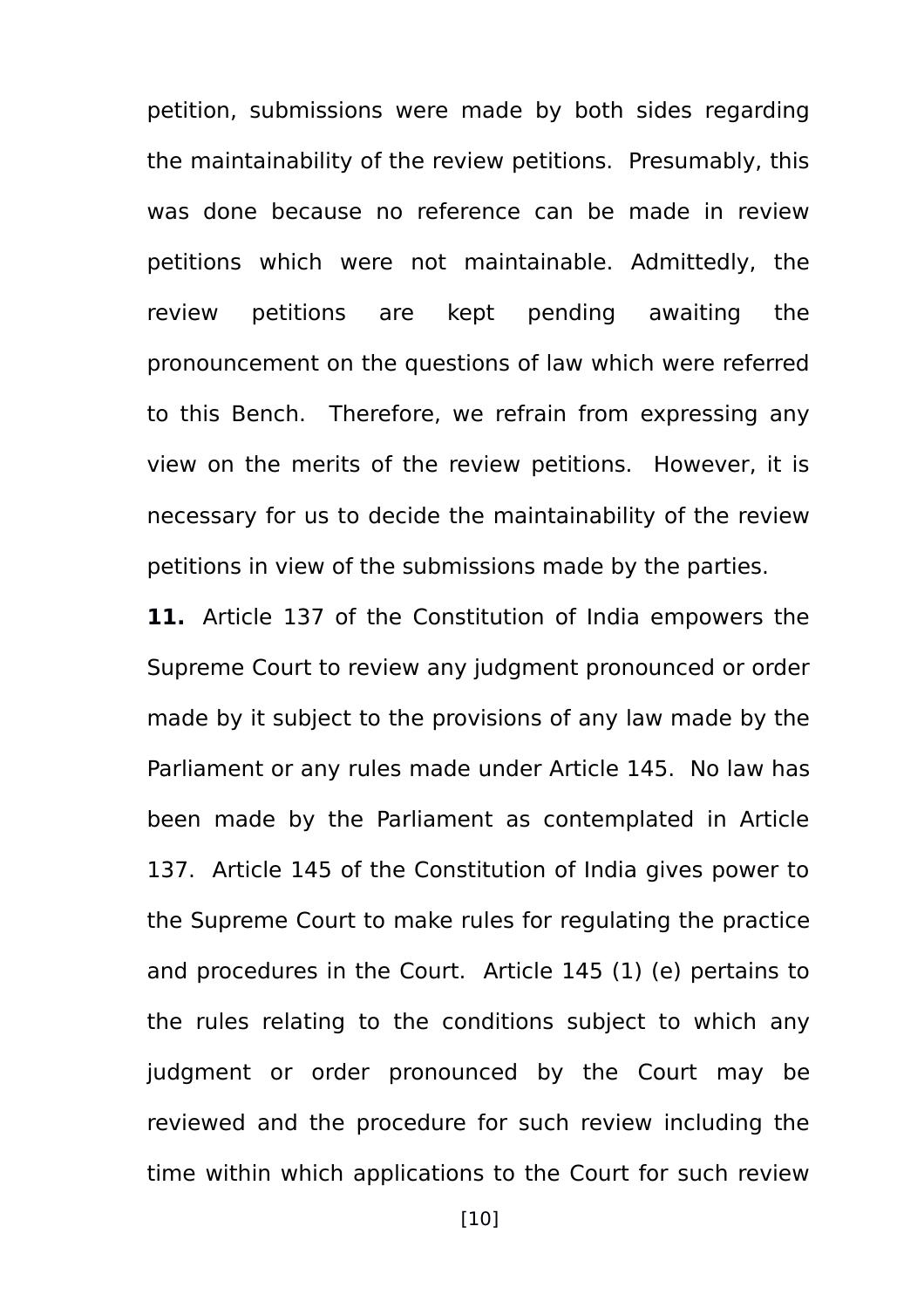petition, submissions were made by both sides regarding the maintainability of the review petitions. Presumably, this was done because no reference can be made in review petitions which were not maintainable. Admittedly, the review petitions are kept pending awaiting the pronouncement on the questions of law which were referred to this Bench. Therefore, we refrain from expressing any view on the merits of the review petitions. However, it is necessary for us to decide the maintainability of the review petitions in view of the submissions made by the parties.

**11.** Article 137 of the Constitution of India empowers the Supreme Court to review any judgment pronounced or order made by it subject to the provisions of any law made by the Parliament or any rules made under Article 145. No law has been made by the Parliament as contemplated in Article 137. Article 145 of the Constitution of India gives power to the Supreme Court to make rules for regulating the practice and procedures in the Court. Article 145 (1) (e) pertains to the rules relating to the conditions subject to which any judgment or order pronounced by the Court may be reviewed and the procedure for such review including the time within which applications to the Court for such review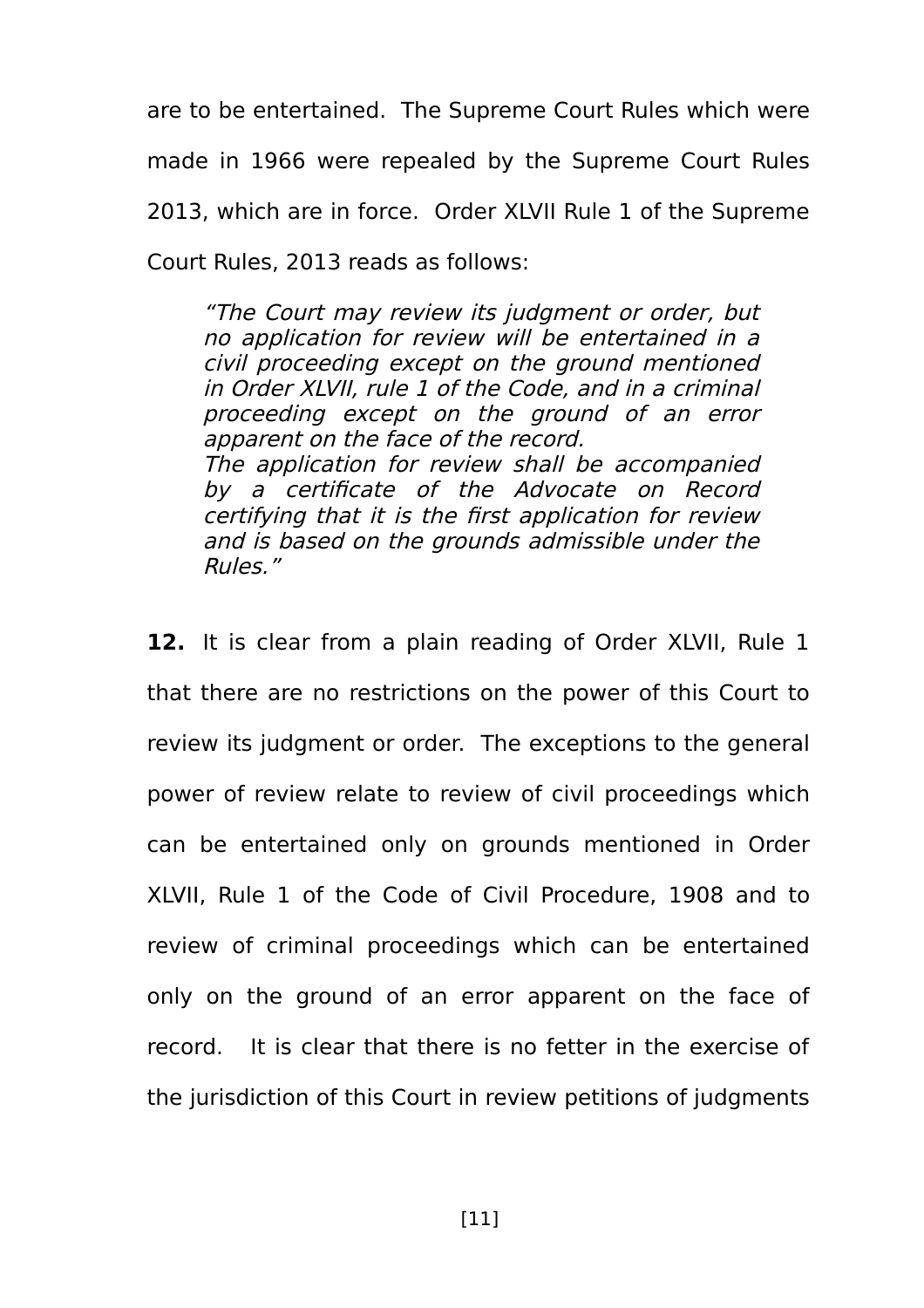are to be entertained. The Supreme Court Rules which were made in 1966 were repealed by the Supreme Court Rules 2013, which are in force. Order XLVII Rule 1 of the Supreme Court Rules, 2013 reads as follows:

"The Court may review its judgment or order, but no application for review will be entertained in a civil proceeding except on the ground mentioned in Order XLVII, rule 1 of the Code, and in a criminal proceeding except on the ground of an error apparent on the face of the record. The application for review shall be accompanied by a certificate of the Advocate on Record certifying that it is the first application for review and is based on the grounds admissible under the Rules."

12. It is clear from a plain reading of Order XLVII, Rule 1 that there are no restrictions on the power of this Court to review its judgment or order. The exceptions to the general power of review relate to review of civil proceedings which can be entertained only on grounds mentioned in Order XLVII, Rule 1 of the Code of Civil Procedure, 1908 and to review of criminal proceedings which can be entertained only on the ground of an error apparent on the face of record. It is clear that there is no fetter in the exercise of the jurisdiction of this Court in review petitions of judgments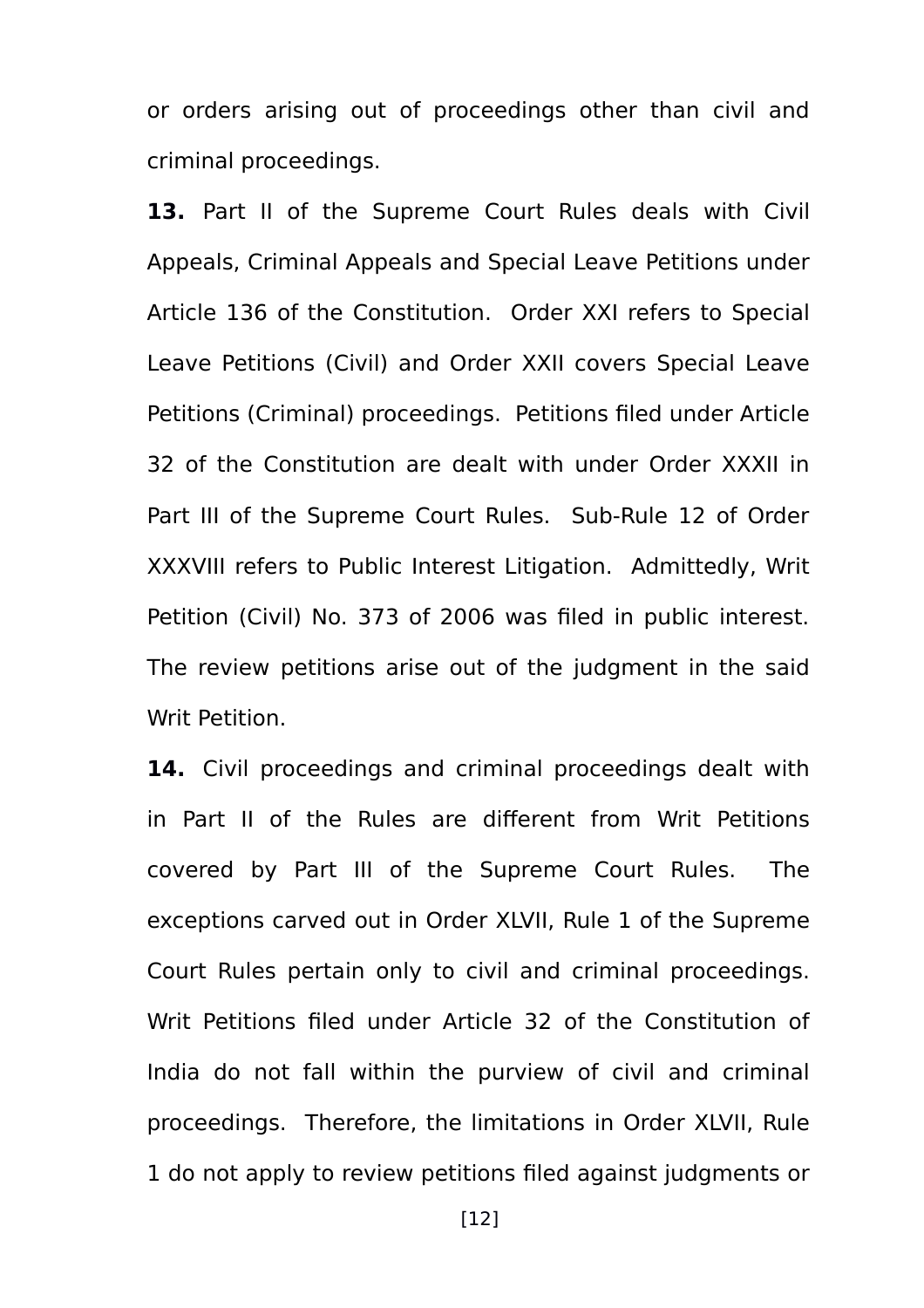or orders arising out of proceedings other than civil and criminal proceedings.

**13.** Part II of the Supreme Court Rules deals with Civil Appeals, Criminal Appeals and Special Leave Petitions under Article 136 of the Constitution. Order XXI refers to Special Leave Petitions (Civil) and Order XXII covers Special Leave Petitions (Criminal) proceedings. Petitions filed under Article 32 of the Constitution are dealt with under Order XXXII in Part III of the Supreme Court Rules. Sub-Rule 12 of Order XXXVIII refers to Public Interest Litigation. Admittedly, Writ Petition (Civil) No. 373 of 2006 was filed in public interest. The review petitions arise out of the judgment in the said Writ Petition.

**14.** Civil proceedings and criminal proceedings dealt with in Part II of the Rules are different from Writ Petitions covered by Part III of the Supreme Court Rules. The exceptions carved out in Order XLVII, Rule 1 of the Supreme Court Rules pertain only to civil and criminal proceedings. Writ Petitions filed under Article 32 of the Constitution of India do not fall within the purview of civil and criminal proceedings. Therefore, the limitations in Order XLVII, Rule 1 do not apply to review petitions filed against judgments or

[12]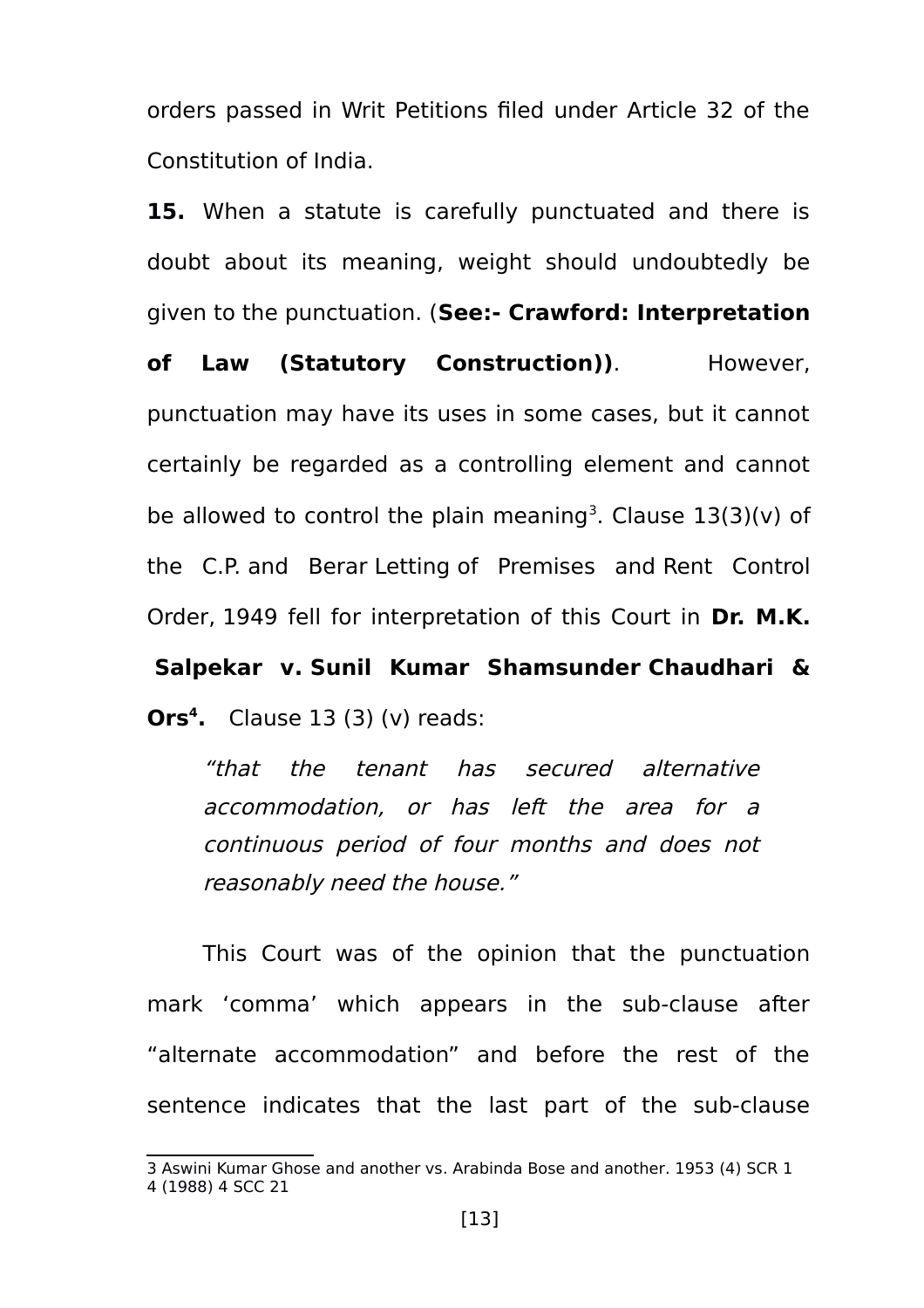orders passed in Writ Petitions filed under Article 32 of the Constitution of India.

**15.** When a statute is carefully punctuated and there is doubt about its meaning, weight should undoubtedly be given to the punctuation. (**See:- Crawford: Interpretation**

of Law (Statutory Construction)). However. punctuation may have its uses in some cases, but it cannot certainly be regarded as a controlling element and cannot be allowed to control the plain meaning<sup>[3](#page-12-0)</sup>. Clause  $13(3)(v)$  of the C.P. and Berar Letting of Premises and Rent Control Order, 1949 fell for interpretation of this Court in **Dr. M.K.**

**Salpekar v. Sunil Kumar Shamsunder Chaudhari & Ors[4](#page-12-1) .** Clause 13 (3) (v) reads:

"that the tenant has secured alternative accommodation, or has left the area for <sup>a</sup> continuous period of four months and does not reasonably need the house."

This Court was of the opinion that the punctuation mark 'comma' which appears in the sub-clause after "alternate accommodation" and before the rest of the sentence indicates that the last part of the sub-clause

<span id="page-12-1"></span><span id="page-12-0"></span><sup>3</sup> Aswini Kumar Ghose and another vs. Arabinda Bose and another. 1953 (4) SCR 1 4 (1988) 4 SCC 21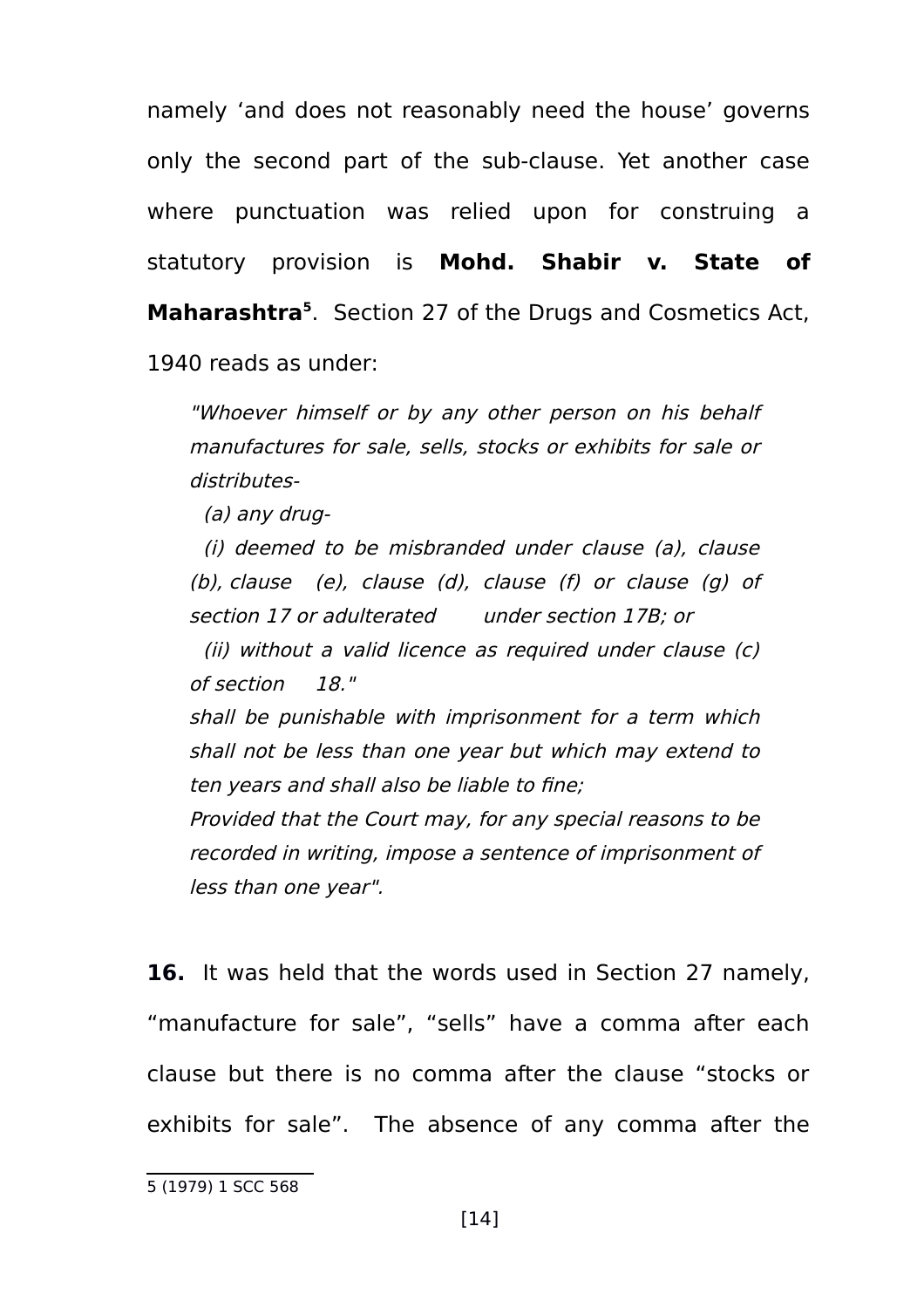namely 'and does not reasonably need the house' governs only the second part of the sub-clause. Yet another case where punctuation was relied upon for construing a statutory provision is **Mohd. Shabir v. State of Maharashtra[5](#page-13-0)** . Section 27 of the Drugs and Cosmetics Act, 1940 reads as under:

"Whoever himself or by any other person on his behalf manufactures for sale, sells, stocks or exhibits for sale or distributes-

(a) any drug-

(i) deemed to be misbranded under clause (a), clause (b), clause (e), clause (d), clause (f) or clause (g) of section 17 or adulterated under [section 17B](https://indiankanoon.org/doc/951675/); or

(ii) without a valid licence as required under clause (c) of [section 18](https://indiankanoon.org/doc/1673305/)."

shall be punishable with imprisonment for a term which shall not be less than one year but which may extend to ten years and shall also be liable to fine;

Provided that the Court may, for any special reasons to be recorded in writing, impose a sentence of imprisonment of less than one year".

**16.** It was held that the words used in Section 27 namely, "manufacture for sale", "sells" have a comma after each clause but there is no comma after the clause "stocks or exhibits for sale". The absence of any comma after the

<span id="page-13-0"></span><sup>5</sup> (1979) 1 SCC 568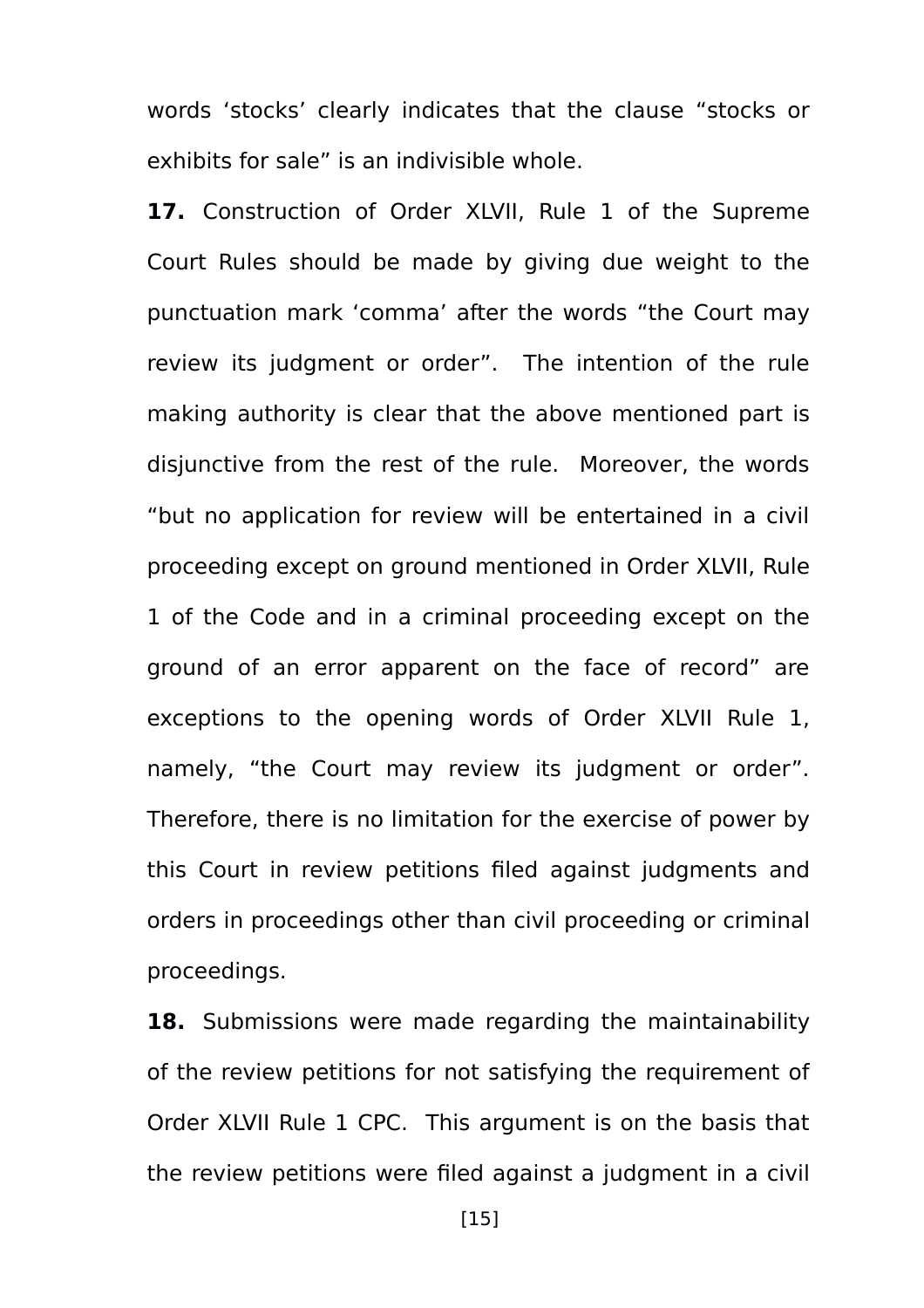words 'stocks' clearly indicates that the clause "stocks or exhibits for sale" is an indivisible whole.

**17.** Construction of Order XLVII, Rule 1 of the Supreme Court Rules should be made by giving due weight to the punctuation mark 'comma' after the words "the Court may review its judgment or order". The intention of the rule making authority is clear that the above mentioned part is disjunctive from the rest of the rule. Moreover, the words "but no application for review will be entertained in a civil proceeding except on ground mentioned in Order XLVII, Rule 1 of the Code and in a criminal proceeding except on the ground of an error apparent on the face of record" are exceptions to the opening words of Order XLVII Rule 1, namely, "the Court may review its judgment or order". Therefore, there is no limitation for the exercise of power by this Court in review petitions filed against judgments and orders in proceedings other than civil proceeding or criminal proceedings.

**18.** Submissions were made regarding the maintainability of the review petitions for not satisfying the requirement of Order XLVII Rule 1 CPC. This argument is on the basis that the review petitions were filed against a judgment in a civil

[15]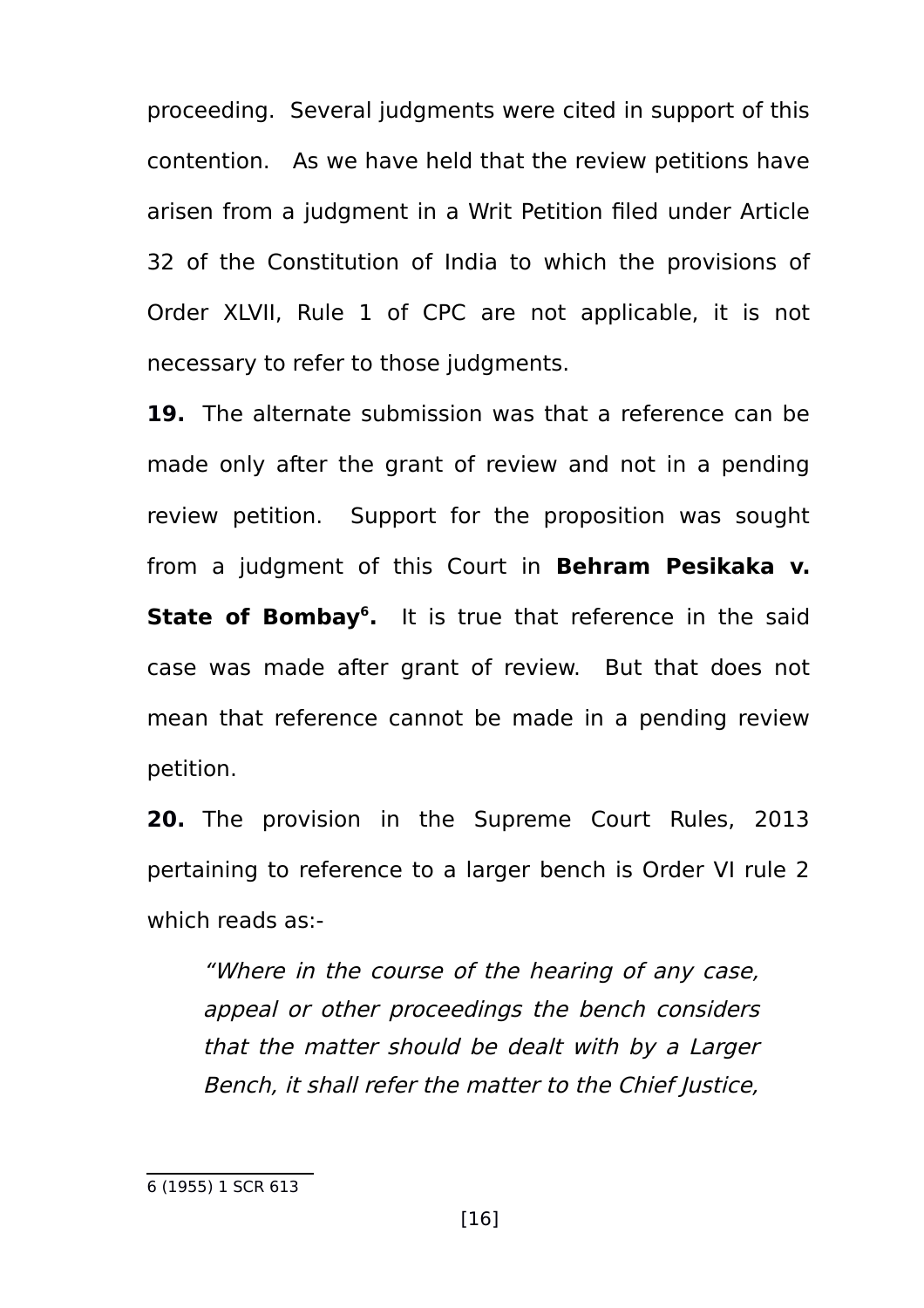proceeding. Several judgments were cited in support of this contention. As we have held that the review petitions have arisen from a judgment in a Writ Petition filed under Article 32 of the Constitution of India to which the provisions of Order XLVII, Rule 1 of CPC are not applicable, it is not necessary to refer to those judgments.

**19.** The alternate submission was that a reference can be made only after the grant of review and not in a pending review petition. Support for the proposition was sought from a judgment of this Court in **Behram Pesikaka v. State of Bombay[6](#page-15-0) .** It is true that reference in the said case was made after grant of review. But that does not mean that reference cannot be made in a pending review petition.

**20.** The provision in the Supreme Court Rules, 2013 pertaining to reference to a larger bench is Order VI rule 2 which reads as:-

"Where in the course of the hearing of any case, appeal or other proceedings the bench considers that the matter should be dealt with by a Larger Bench, it shall refer the matter to the Chief Justice,

<span id="page-15-0"></span><sup>6</sup> (1955) 1 SCR 613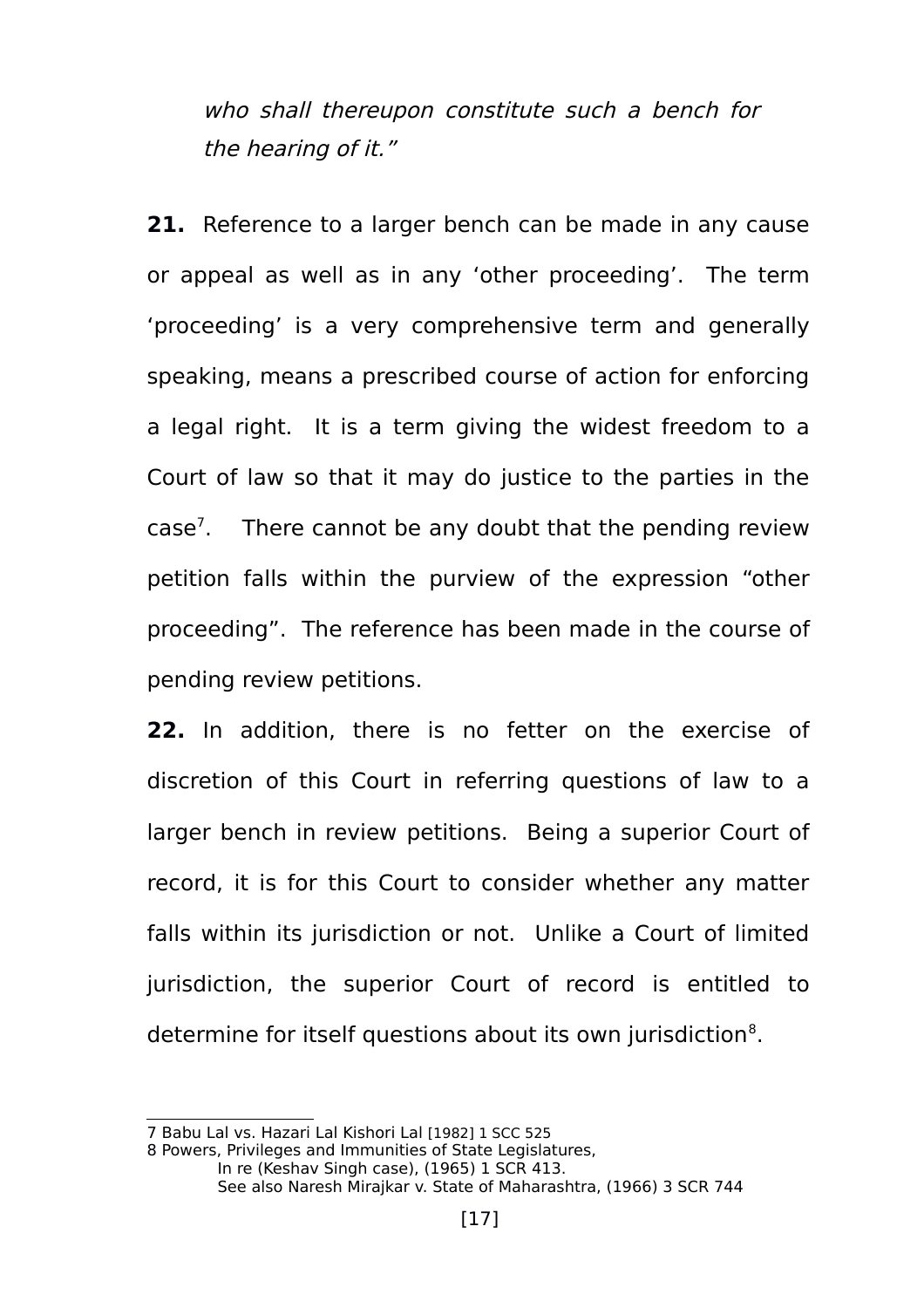who shall thereupon constitute such a bench for the hearing of it."

**21.** Reference to a larger bench can be made in any cause or appeal as well as in any 'other proceeding'. The term 'proceeding' is a very comprehensive term and generally speaking, means a prescribed course of action for enforcing a legal right. It is a term giving the widest freedom to a Court of law so that it may do justice to the parties in the case<sup>[7](#page-16-0)</sup>. There cannot be any doubt that the pending review petition falls within the purview of the expression "other proceeding". The reference has been made in the course of pending review petitions.

**22.** In addition, there is no fetter on the exercise of discretion of this Court in referring questions of law to a larger bench in review petitions. Being a superior Court of record, it is for this Court to consider whether any matter falls within its jurisdiction or not. Unlike a Court of limited jurisdiction, the superior Court of record is entitled to determine for itself questions about its own jurisdiction<sup>[8](#page-16-1)</sup>.

<span id="page-16-1"></span>8 Powers, Privileges and Immunities of State Legislatures,

<span id="page-16-0"></span><sup>7</sup> Babu Lal vs. Hazari Lal Kishori Lal [1982] 1 SCC 525

In re (Keshav Singh case), (1965) 1 SCR 413. See also Naresh Mirajkar v. State of Maharashtra, (1966) 3 SCR 744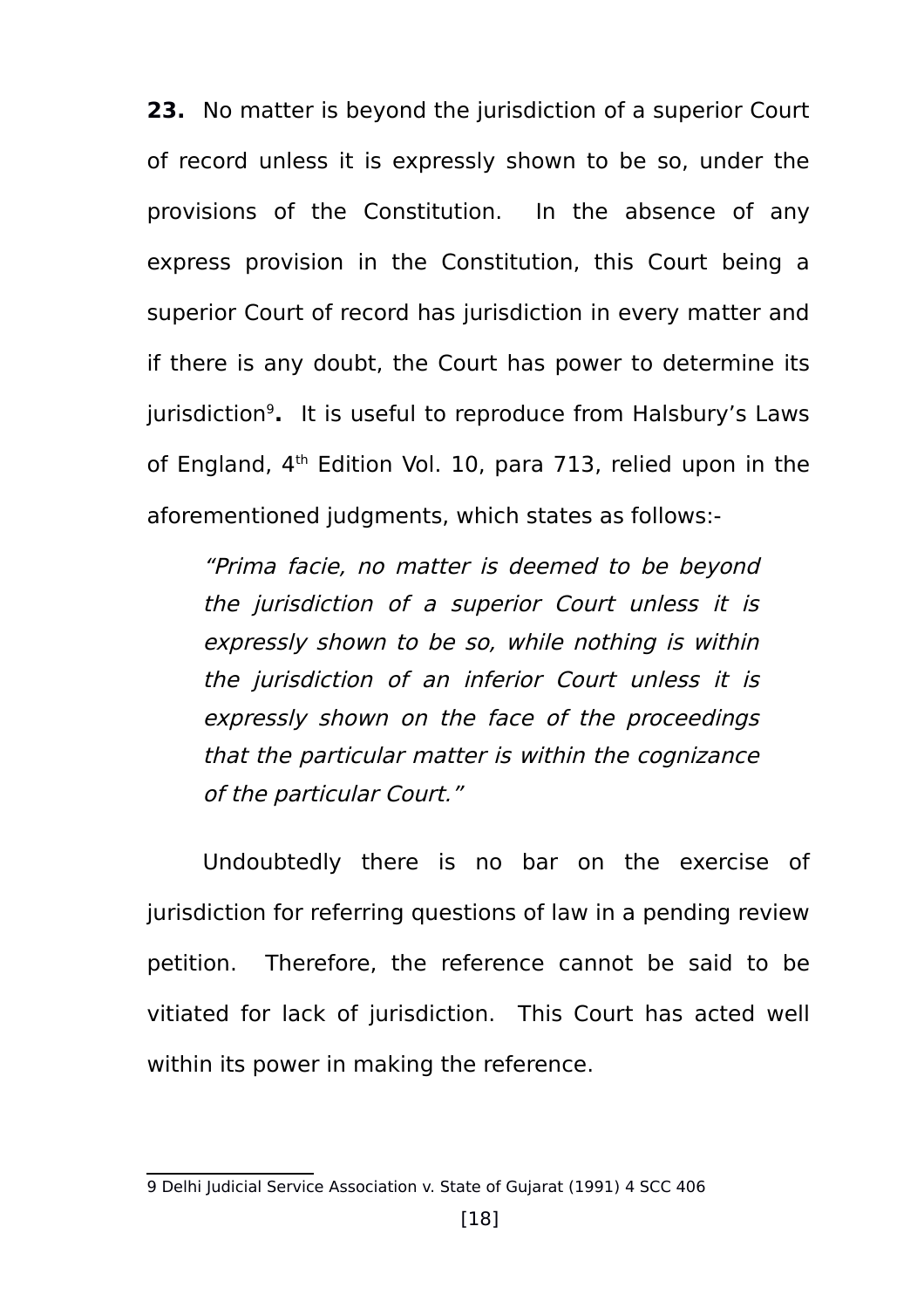**23.** No matter is beyond the jurisdiction of a superior Court of record unless it is expressly shown to be so, under the provisions of the Constitution. In the absence of any express provision in the Constitution, this Court being a superior Court of record has jurisdiction in every matter and if there is any doubt, the Court has power to determine its jurisdiction[9](#page-17-0) **.** It is useful to reproduce from Halsbury's Laws of England, 4<sup>th</sup> Edition Vol. 10, para 713, relied upon in the aforementioned judgments, which states as follows:-

"Prima facie, no matter is deemed to be beyond the jurisdiction of <sup>a</sup> superior Court unless it is expressly shown to be so, while nothing is within the jurisdiction of an inferior Court unless it is expressly shown on the face of the proceedings that the particular matter is within the cognizance of the particular Court."

Undoubtedly there is no bar on the exercise of jurisdiction for referring questions of law in a pending review petition. Therefore, the reference cannot be said to be vitiated for lack of jurisdiction. This Court has acted well within its power in making the reference.

<span id="page-17-0"></span><sup>9</sup> Delhi Judicial Service Association v. State of Gujarat (1991) 4 SCC 406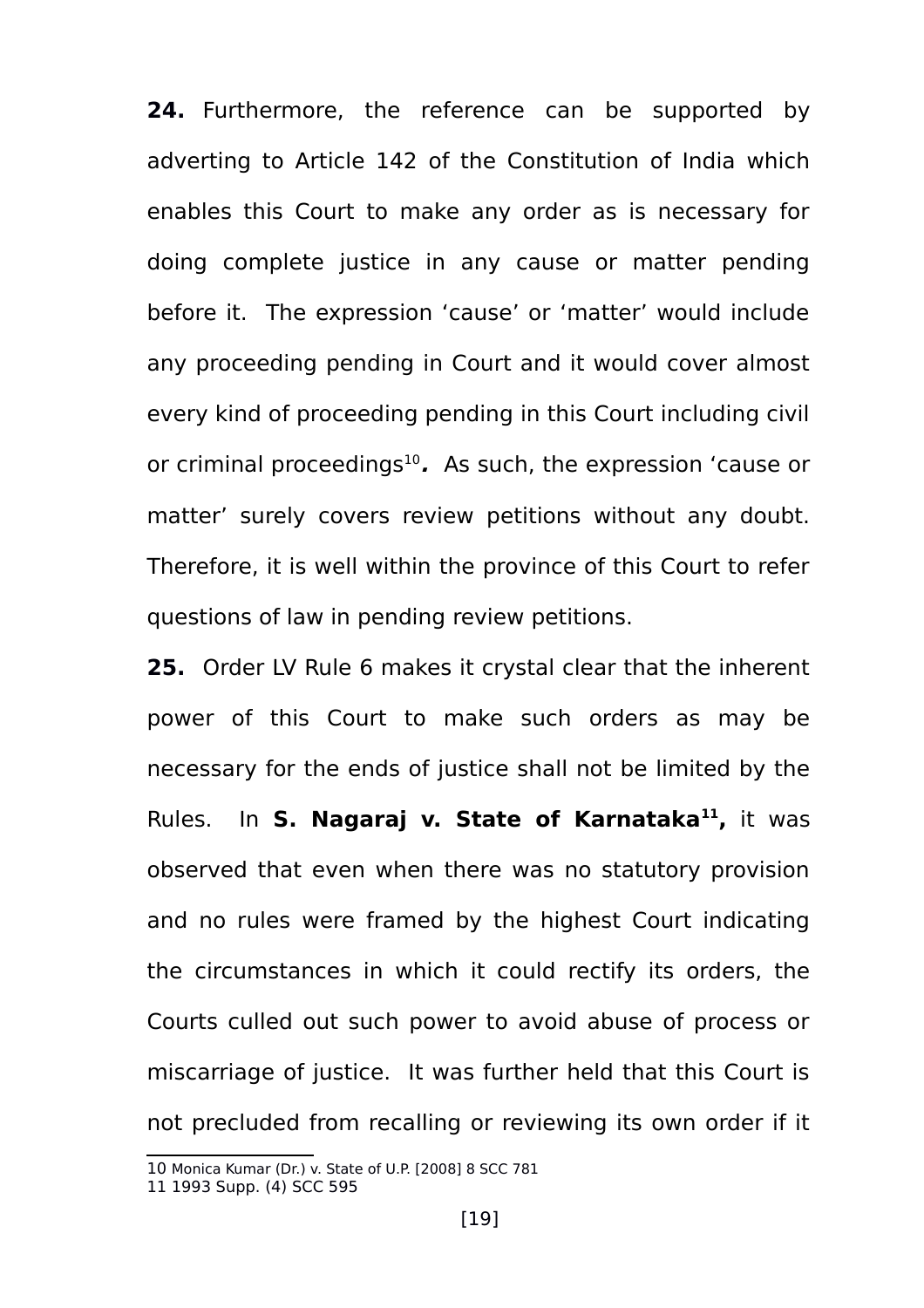**24.** Furthermore, the reference can be supported by adverting to Article 142 of the Constitution of India which enables this Court to make any order as is necessary for doing complete justice in any cause or matter pending before it. The expression 'cause' or 'matter' would include any proceeding pending in Court and it would cover almost every kind of proceeding pending in this Court including civil or criminal proceedings<sup>[10](#page-18-0)</sup>. As such, the expression 'cause or matter' surely covers review petitions without any doubt. Therefore, it is well within the province of this Court to refer questions of law in pending review petitions.

**25.** Order LV Rule 6 makes it crystal clear that the inherent power of this Court to make such orders as may be necessary for the ends of justice shall not be limited by the Rules. In **S. Nagaraj v. State of Karnataka[11](#page-18-1) ,** it was observed that even when there was no statutory provision and no rules were framed by the highest Court indicating the circumstances in which it could rectify its orders, the Courts culled out such power to avoid abuse of process or miscarriage of justice. It was further held that this Court is not precluded from recalling or reviewing its own order if it

<span id="page-18-0"></span><sup>10</sup> Monica Kumar (Dr.) v. State of U.P. [2008] 8 SCC 781

<span id="page-18-1"></span><sup>11</sup> 1993 Supp. (4) SCC 595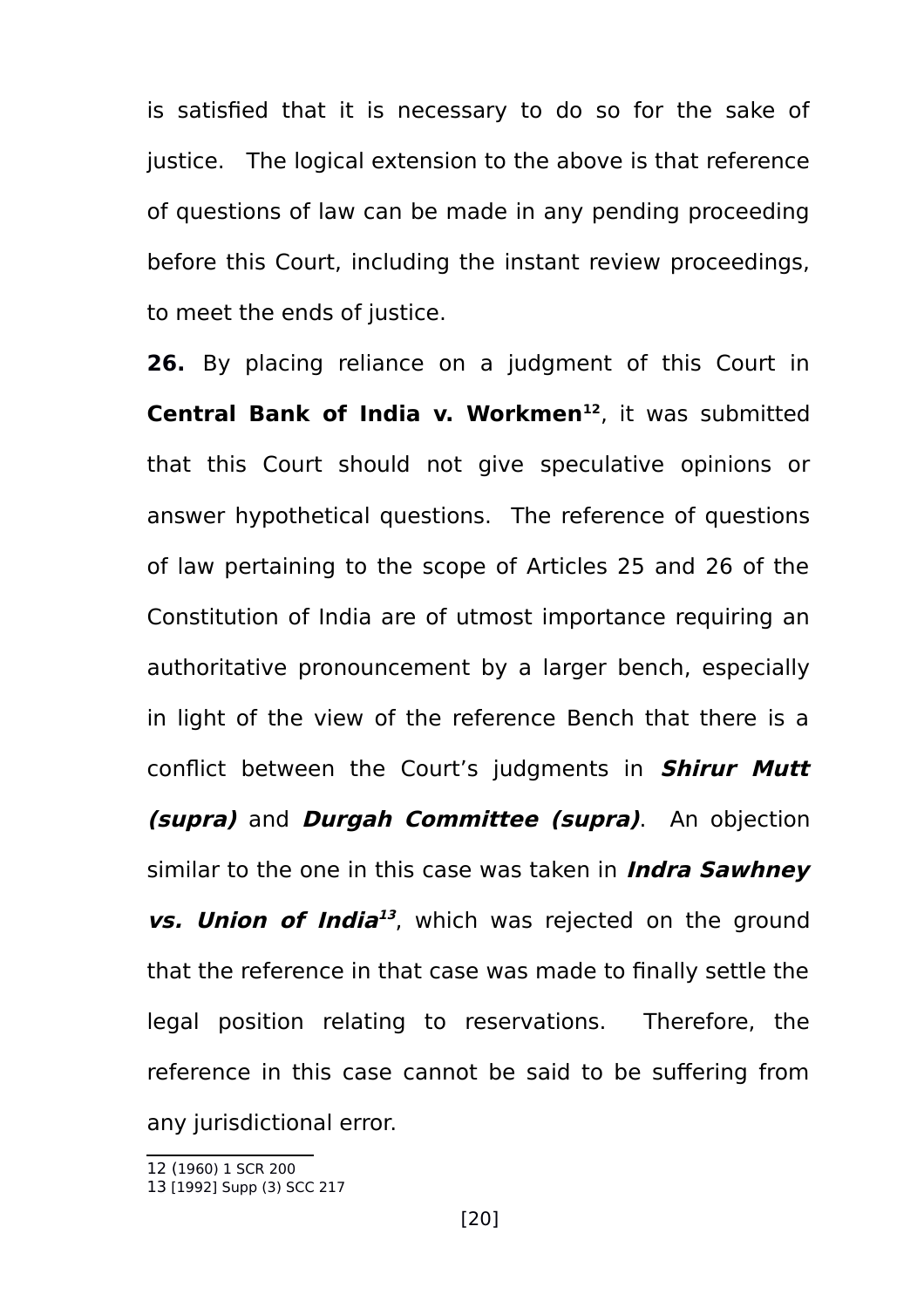is satisfied that it is necessary to do so for the sake of justice. The logical extension to the above is that reference of questions of law can be made in any pending proceeding before this Court, including the instant review proceedings, to meet the ends of justice.

**26.** By placing reliance on a judgment of this Court in **Central Bank of India v. Workmen[12](#page-19-0)** , it was submitted that this Court should not give speculative opinions or answer hypothetical questions. The reference of questions of law pertaining to the scope of Articles 25 and 26 of the Constitution of India are of utmost importance requiring an authoritative pronouncement by a larger bench, especially in light of the view of the reference Bench that there is a conflict between the Court's judgments in **Shirur Mutt (supra)** and **Durgah Committee (supra)**. An objection similar to the one in this case was taken in **Indra Sawhney vs. Union of India [13](#page-19-1)** , which was rejected on the ground that the reference in that case was made to finally settle the legal position relating to reservations. Therefore, the reference in this case cannot be said to be suffering from any jurisdictional error.

<span id="page-19-0"></span><sup>12</sup> (1960) 1 SCR 200

<span id="page-19-1"></span><sup>13</sup> [1992] Supp (3) SCC 217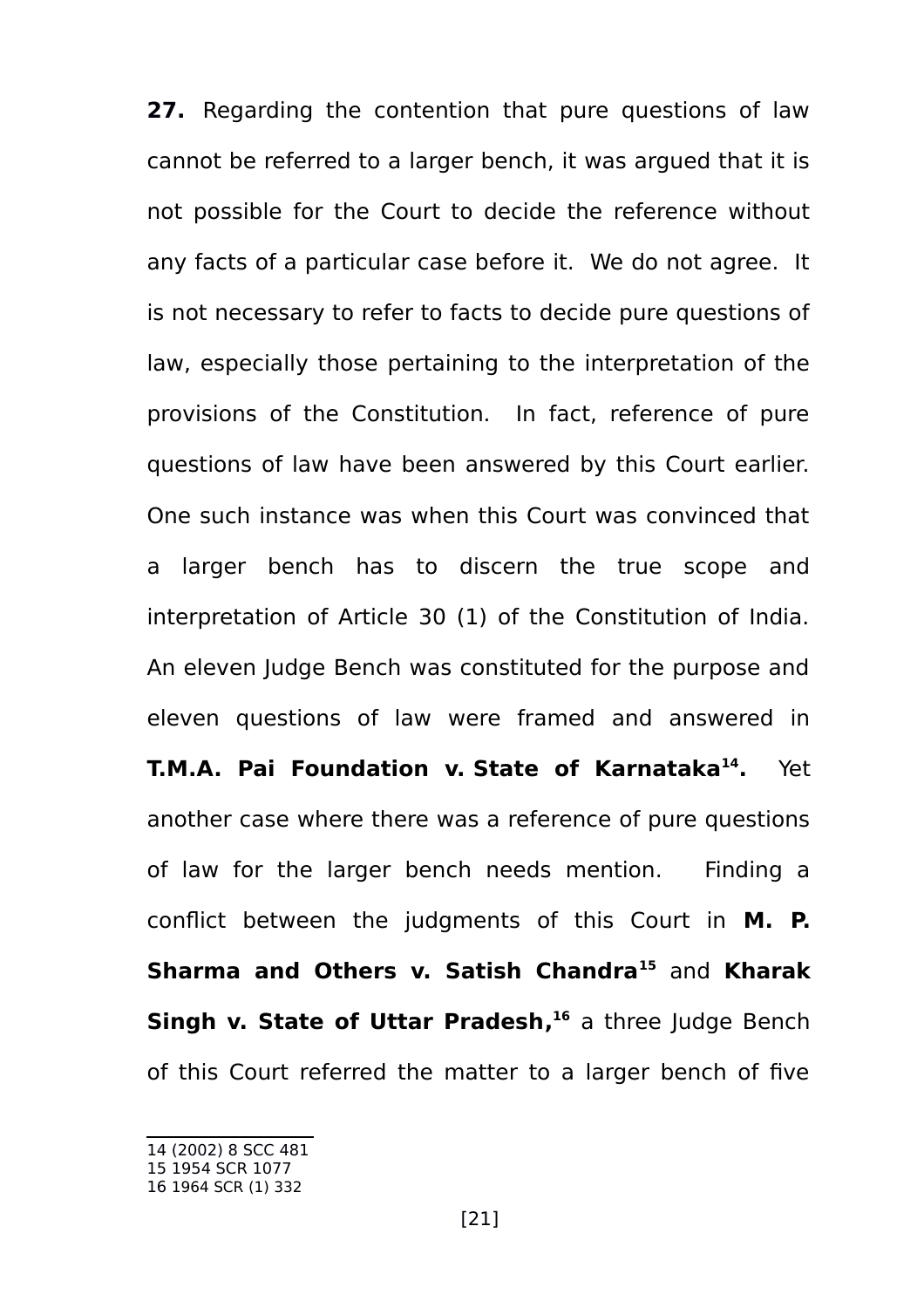**27.** Regarding the contention that pure questions of law cannot be referred to a larger bench, it was argued that it is not possible for the Court to decide the reference without any facts of a particular case before it. We do not agree. It is not necessary to refer to facts to decide pure questions of law, especially those pertaining to the interpretation of the provisions of the Constitution. In fact, reference of pure questions of law have been answered by this Court earlier. One such instance was when this Court was convinced that a larger bench has to discern the true scope and interpretation of Article 30 (1) of the Constitution of India. An eleven Judge Bench was constituted for the purpose and eleven questions of law were framed and answered in **T.M.A. Pai Foundation v. State of Karnataka[14](#page-20-0) .** Yet another case where there was a reference of pure questions of law for the larger bench needs mention. Finding a conflict between the judgments of this Court in **M. P. Sharma and Others v. Satish Chandra[15](#page-20-1)** and **[Kharak](https://indiankanoon.org/doc/619152/) [Singh v. State of Uttar Pradesh,](https://indiankanoon.org/doc/619152/) [16](#page-20-2)** a three Judge Bench of this Court referred the matter to a larger bench of five

<span id="page-20-0"></span><sup>14</sup> (2002) 8 SCC 481

<span id="page-20-1"></span><sup>15</sup> 1954 SCR 1077

<span id="page-20-2"></span><sup>16</sup> 1964 SCR (1) 332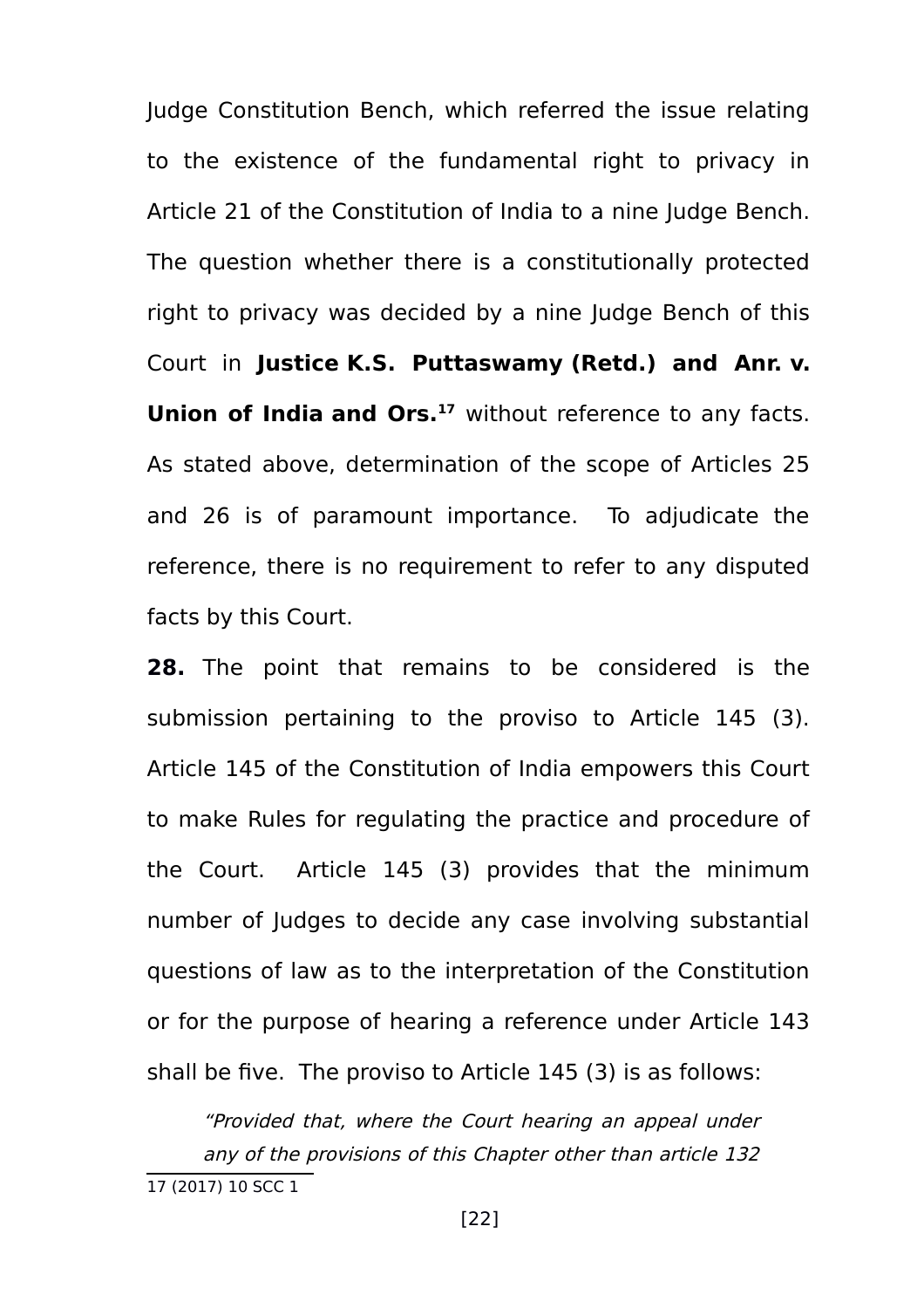Judge Constitution Bench, which referred the issue relating to the existence of the fundamental right to privacy in Article 21 of the Constitution of India to a nine Judge Bench. The question whether there is a constitutionally protected right to privacy was decided by a nine Judge Bench of this Court in **Justice K.S. Puttaswamy (Retd.) and Anr. v. Union of India and Ors.[17](#page-21-0)** without reference to any facts. As stated above, determination of the scope of Articles 25 and 26 is of paramount importance. To adjudicate the reference, there is no requirement to refer to any disputed facts by this Court.

**28.** The point that remains to be considered is the submission pertaining to the proviso to Article 145 (3). Article 145 of the Constitution of India empowers this Court to make Rules for regulating the practice and procedure of the Court. Article 145 (3) provides that the minimum number of Judges to decide any case involving substantial questions of law as to the interpretation of the Constitution or for the purpose of hearing a reference under Article 143 shall be five. The proviso to Article 145 (3) is as follows:

"Provided that, where the Court hearing an appeal under any of the provisions of this Chapter other than article 132

<span id="page-21-0"></span><sup>17 (2017) 10</sup> SCC 1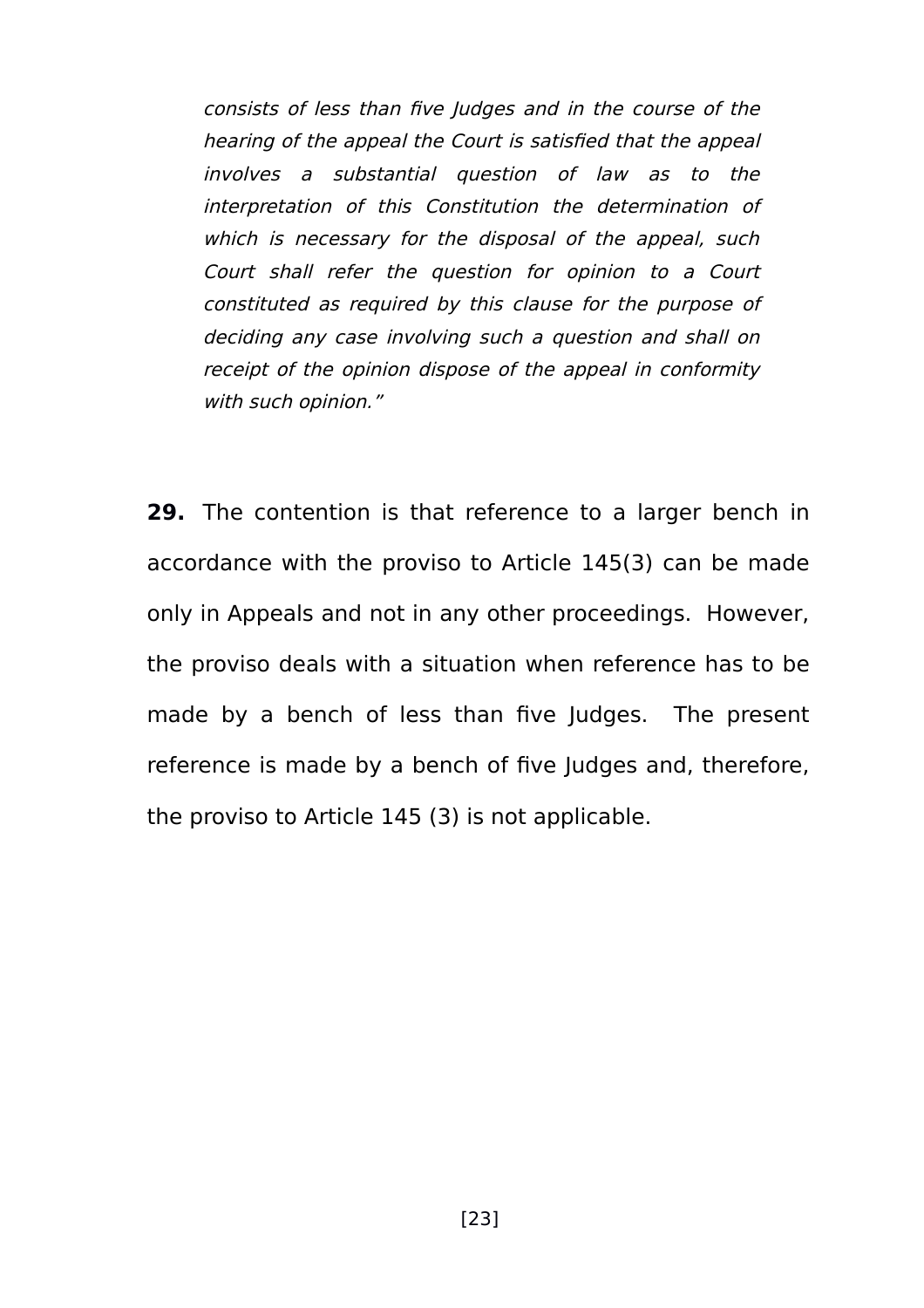consists of less than five Judges and in the course of the hearing of the appeal the Court is satisfied that the appeal involves <sup>a</sup> substantial question of law as to the interpretation of this Constitution the determination of which is necessary for the disposal of the appeal, such Court shall refer the question for opinion to <sup>a</sup> Court constituted as required by this clause for the purpose of deciding any case involving such a question and shall on receipt of the opinion dispose of the appeal in conformity with such opinion."

**29.** The contention is that reference to a larger bench in accordance with the proviso to Article 145(3) can be made only in Appeals and not in any other proceedings. However, the proviso deals with a situation when reference has to be made by a bench of less than five Judges. The present reference is made by a bench of five Judges and, therefore, the proviso to Article 145 (3) is not applicable.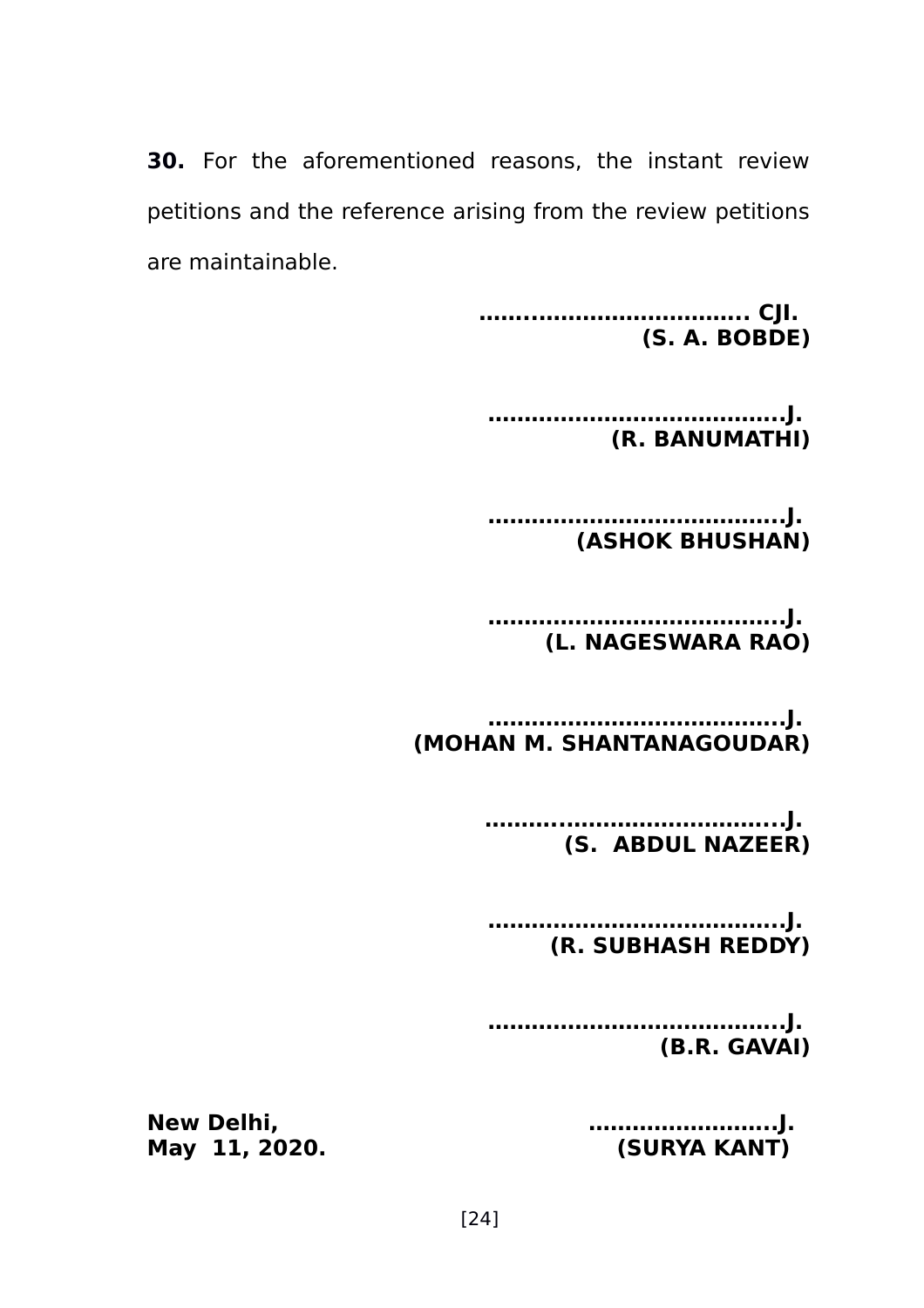**30.** For the aforementioned reasons, the instant review petitions and the reference arising from the review petitions are maintainable.

> **……..……………………….. CJI. (S. A. BOBDE)**

**…………………………………..J. (R. BANUMATHI)**

**…………………………………..J. (ASHOK BHUSHAN)**

**…………………………………..J. (L. NAGESWARA RAO)**

**…………………………………..J. (MOHAN M. SHANTANAGOUDAR)**

> **………..………………………...J. (S. ABDUL NAZEER)**

**…………………………………..J. (R. SUBHASH REDDY)**

**…………………………………..J. (B.R. GAVAI)**

**May 11, 2020. (SURYA KANT)**

**New Delhi, ……………………..J.**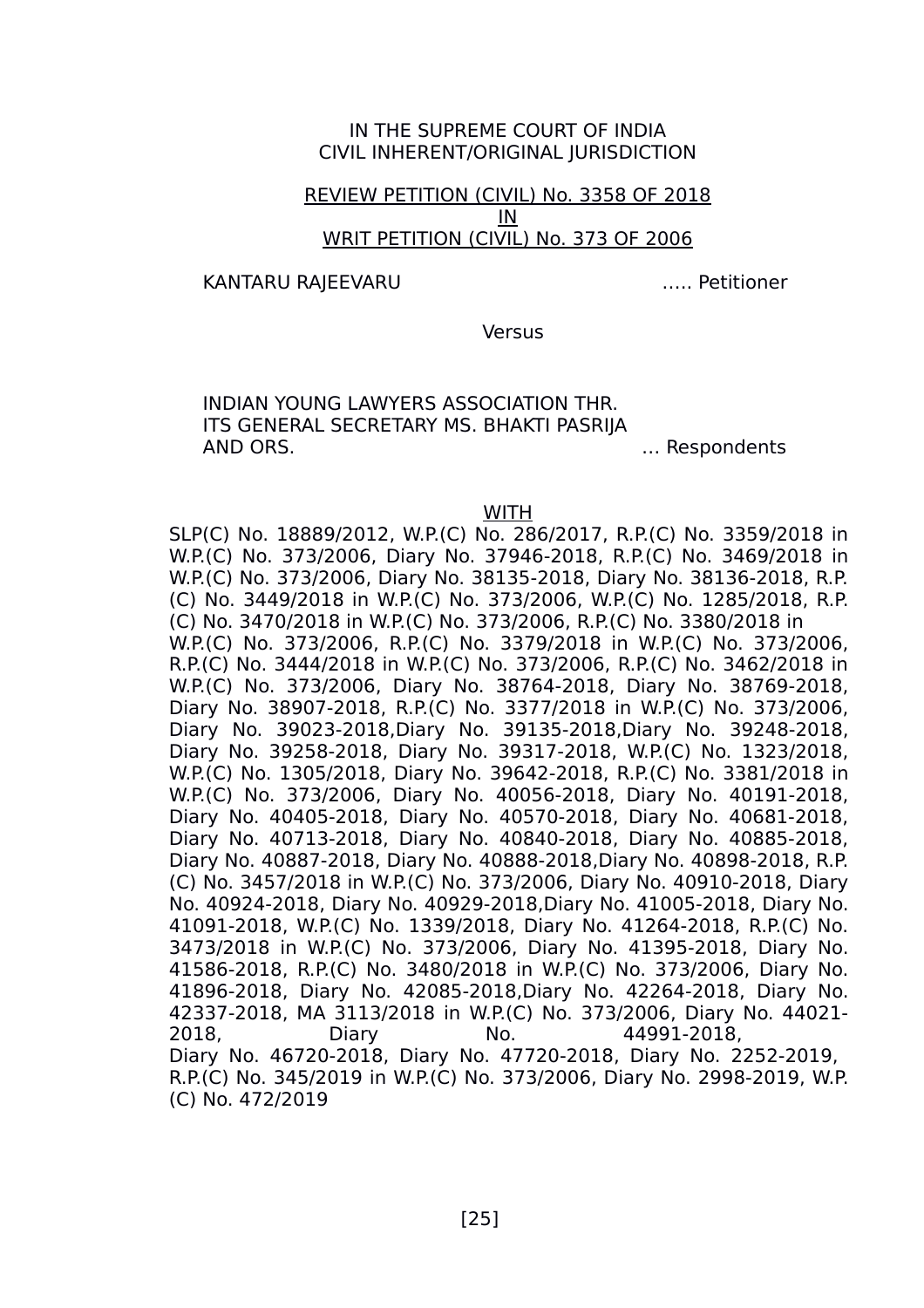### IN THE SUPREME COURT OF INDIA CIVIL INHERENT/ORIGINAL JURISDICTION

## REVIEW PETITION (CIVIL) No. 3358 OF 2018 IN WRIT PETITION (CIVIL) No. 373 OF 2006

KANTARU RAJEEVARU ….. Petitioner

Versus

INDIAN YOUNG LAWYERS ASSOCIATION THR. ITS GENERAL SECRETARY MS. BHAKTI PASRIJA AND ORS. … Respondents

WITH

SLP(C) No. 18889/2012, W.P.(C) No. 286/2017, R.P.(C) No. 3359/2018 in W.P.(C) No. 373/2006, Diary No. 37946-2018, R.P.(C) No. 3469/2018 in W.P.(C) No. 373/2006, Diary No. 38135-2018, Diary No. 38136-2018, R.P. (C) No. 3449/2018 in W.P.(C) No. 373/2006, W.P.(C) No. 1285/2018, R.P. (C) No. 3470/2018 in W.P.(C) No. 373/2006, R.P.(C) No. 3380/2018 in W.P.(C) No. 373/2006, R.P.(C) No. 3379/2018 in W.P.(C) No. 373/2006, R.P.(C) No. 3444/2018 in W.P.(C) No. 373/2006, R.P.(C) No. 3462/2018 in W.P.(C) No. 373/2006, Diary No. 38764-2018, Diary No. 38769-2018, Diary No. 38907-2018, R.P.(C) No. 3377/2018 in W.P.(C) No. 373/2006, Diary No. 39023-2018,Diary No. 39135-2018,Diary No. 39248-2018, Diary No. 39258-2018, Diary No. 39317-2018, W.P.(C) No. 1323/2018, W.P.(C) No. 1305/2018, Diary No. 39642-2018, R.P.(C) No. 3381/2018 in W.P.(C) No. 373/2006, Diary No. 40056-2018, Diary No. 40191-2018, Diary No. 40405-2018, Diary No. 40570-2018, Diary No. 40681-2018, Diary No. 40713-2018, Diary No. 40840-2018, Diary No. 40885-2018, Diary No. 40887-2018, Diary No. 40888-2018,Diary No. 40898-2018, R.P. (C) No. 3457/2018 in W.P.(C) No. 373/2006, Diary No. 40910-2018, Diary No. 40924-2018, Diary No. 40929-2018,Diary No. 41005-2018, Diary No. 41091-2018, W.P.(C) No. 1339/2018, Diary No. 41264-2018, R.P.(C) No. 3473/2018 in W.P.(C) No. 373/2006, Diary No. 41395-2018, Diary No. 41586-2018, R.P.(C) No. 3480/2018 in W.P.(C) No. 373/2006, Diary No. 41896-2018, Diary No. 42085-2018,Diary No. 42264-2018, Diary No. 42337-2018, MA 3113/2018 in W.P.(C) No. 373/2006, Diary No. 44021- 2018, Diary No. 44991-2018, Diary No. 46720-2018, Diary No. 47720-2018, Diary No. 2252-2019, R.P.(C) No. 345/2019 in W.P.(C) No. 373/2006, Diary No. 2998-2019, W.P. (C) No. 472/2019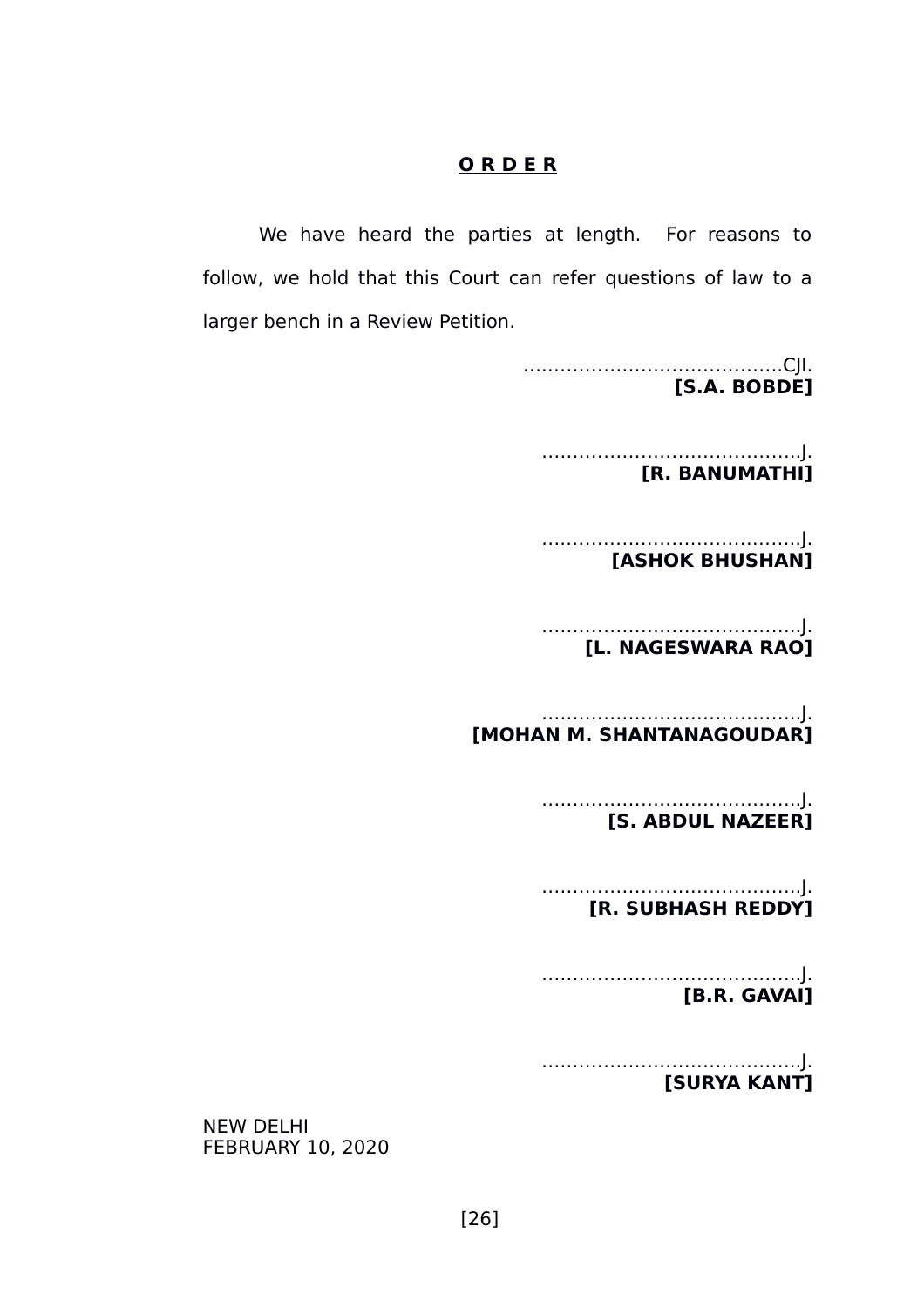## **O R D E R**

We have heard the parties at length. For reasons to follow, we hold that this Court can refer questions of law to a larger bench in a Review Petition.

> ….………………………………..CJI. **[S.A. BOBDE]**

….………………………………..J.  **[R. BANUMATHI]**

 ….………………………………..J.  **[ASHOK BHUSHAN]**

….………………………………..J.  **[L. NAGESWARA RAO]**

….………………………………..J.  **[MOHAN M. SHANTANAGOUDAR]**

> ….………………………………..J.  **[S. ABDUL NAZEER]**

> ….………………………………..J.  **[R. SUBHASH REDDY]**

> ….………………………………..J.  **[B.R. GAVAI]**

> ….………………………………..J.  **[SURYA KANT]**

NEW DELHI FEBRUARY 10, 2020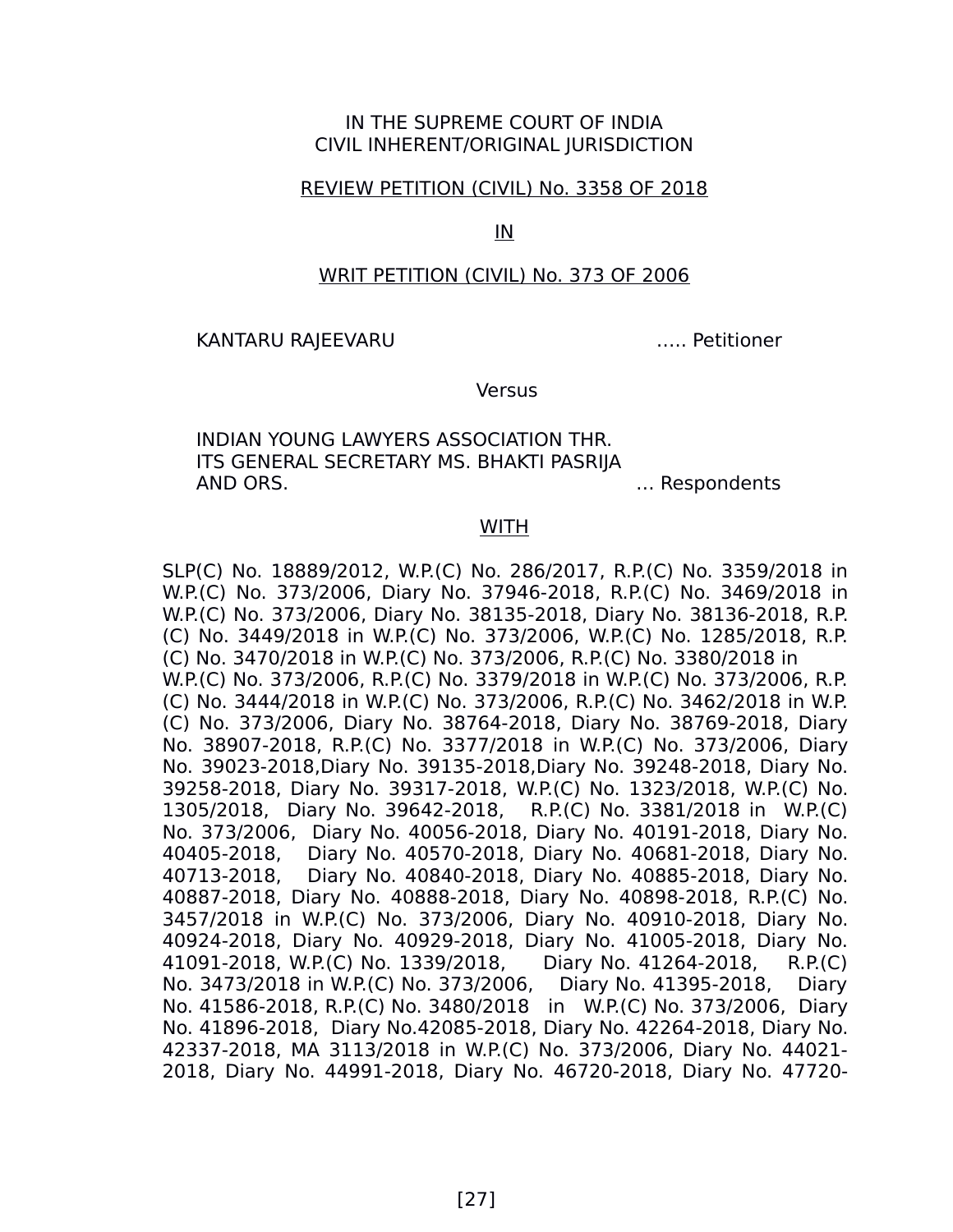## IN THE SUPREME COURT OF INDIA CIVIL INHERENT/ORIGINAL JURISDICTION

#### REVIEW PETITION (CIVIL) No. 3358 OF 2018

IN

### WRIT PETITION (CIVIL) No. 373 OF 2006

#### KANTARU RAJEEVARU ….. Petitioner

#### Versus

INDIAN YOUNG LAWYERS ASSOCIATION THR. ITS GENERAL SECRETARY MS. BHAKTI PASRIJA AND ORS. … Respondents

#### **WITH**

SLP(C) No. 18889/2012, W.P.(C) No. 286/2017, R.P.(C) No. 3359/2018 in W.P.(C) No. 373/2006, Diary No. 37946-2018, R.P.(C) No. 3469/2018 in W.P.(C) No. 373/2006, Diary No. 38135-2018, Diary No. 38136-2018, R.P. (C) No. 3449/2018 in W.P.(C) No. 373/2006, W.P.(C) No. 1285/2018, R.P. (C) No. 3470/2018 in W.P.(C) No. 373/2006, R.P.(C) No. 3380/2018 in W.P.(C) No. 373/2006, R.P.(C) No. 3379/2018 in W.P.(C) No. 373/2006, R.P. (C) No. 3444/2018 in W.P.(C) No. 373/2006, R.P.(C) No. 3462/2018 in W.P. (C) No. 373/2006, Diary No. 38764-2018, Diary No. 38769-2018, Diary No. 38907-2018, R.P.(C) No. 3377/2018 in W.P.(C) No. 373/2006, Diary No. 39023-2018,Diary No. 39135-2018,Diary No. 39248-2018, Diary No. 39258-2018, Diary No. 39317-2018, W.P.(C) No. 1323/2018, W.P.(C) No. 1305/2018, Diary No. 39642-2018, R.P.(C) No. 3381/2018 in W.P.(C) No. 373/2006, Diary No. 40056-2018, Diary No. 40191-2018, Diary No. 40405-2018, Diary No. 40570-2018, Diary No. 40681-2018, Diary No. 40713-2018, Diary No. 40840-2018, Diary No. 40885-2018, Diary No. 40887-2018, Diary No. 40888-2018, Diary No. 40898-2018, R.P.(C) No. 3457/2018 in W.P.(C) No. 373/2006, Diary No. 40910-2018, Diary No. 40924-2018, Diary No. 40929-2018, Diary No. 41005-2018, Diary No. 41091-2018, W.P.(C) No. 1339/2018, Diary No. 41264-2018, R.P.(C) No. 3473/2018 in W.P.(C) No. 373/2006, Diary No. 41395-2018, Diary No. 41586-2018, R.P.(C) No. 3480/2018 in W.P.(C) No. 373/2006, Diary No. 41896-2018, Diary No.42085-2018, Diary No. 42264-2018, Diary No. 42337-2018, MA 3113/2018 in W.P.(C) No. 373/2006, Diary No. 44021- 2018, Diary No. 44991-2018, Diary No. 46720-2018, Diary No. 47720-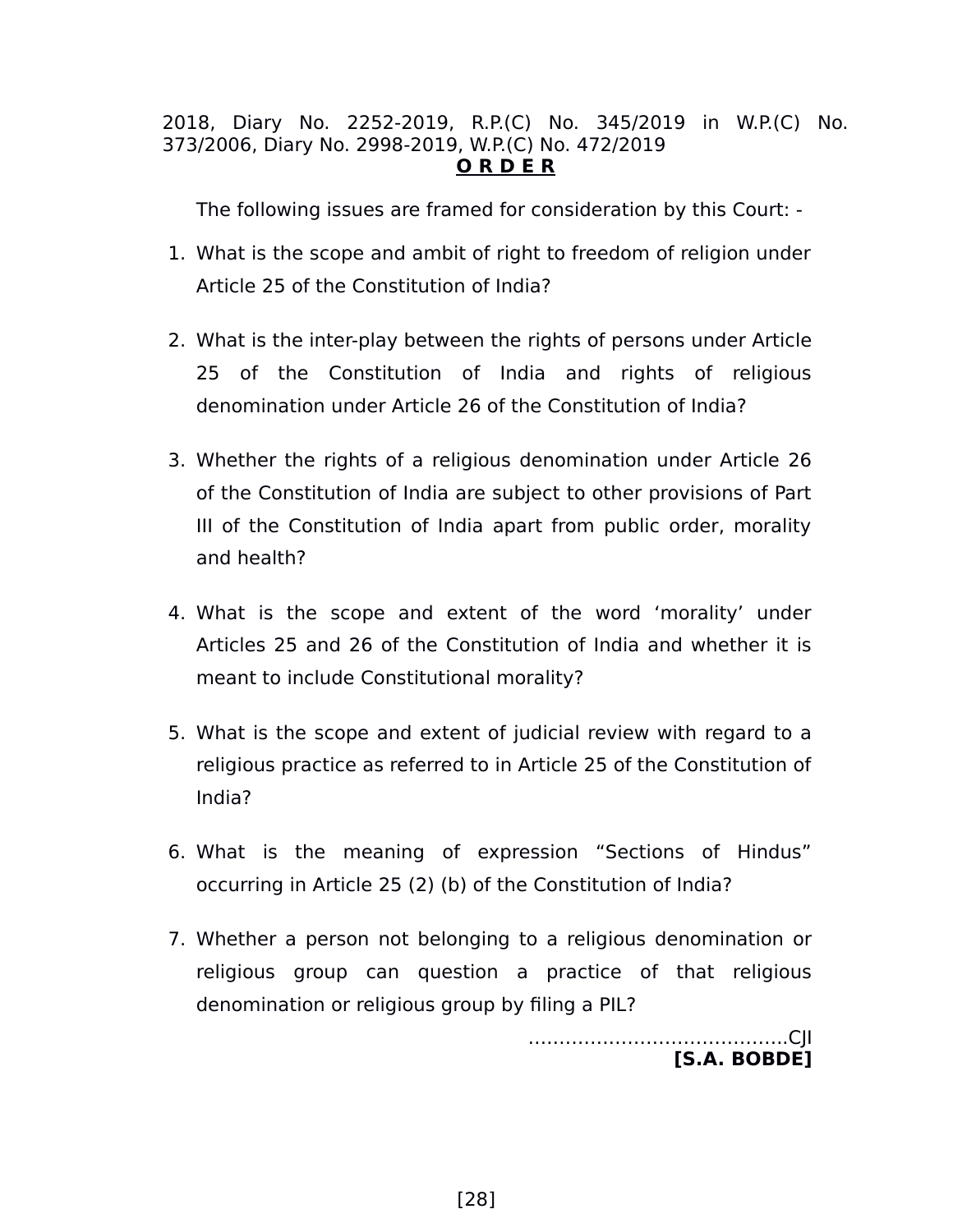## 2018, Diary No. 2252-2019, R.P.(C) No. 345/2019 in W.P.(C) No. 373/2006, Diary No. 2998-2019, W.P.(C) No. 472/2019 **O R D E R**

The following issues are framed for consideration by this Court: -

- 1. What is the scope and ambit of right to freedom of religion under Article 25 of the Constitution of India?
- 2. What is the inter-play between the rights of persons under Article 25 of the Constitution of India and rights of religious denomination under Article 26 of the Constitution of India?
- 3. Whether the rights of a religious denomination under Article 26 of the Constitution of India are subject to other provisions of Part III of the Constitution of India apart from public order, morality and health?
- 4. What is the scope and extent of the word 'morality' under Articles 25 and 26 of the Constitution of India and whether it is meant to include Constitutional morality?
- 5. What is the scope and extent of judicial review with regard to a religious practice as referred to in Article 25 of the Constitution of India?
- 6. What is the meaning of expression "Sections of Hindus" occurring in Article 25 (2) (b) of the Constitution of India?
- 7. Whether a person not belonging to a religious denomination or religious group can question a practice of that religious denomination or religious group by filing a PIL?

….………………………………..CJI **[S.A. BOBDE]**